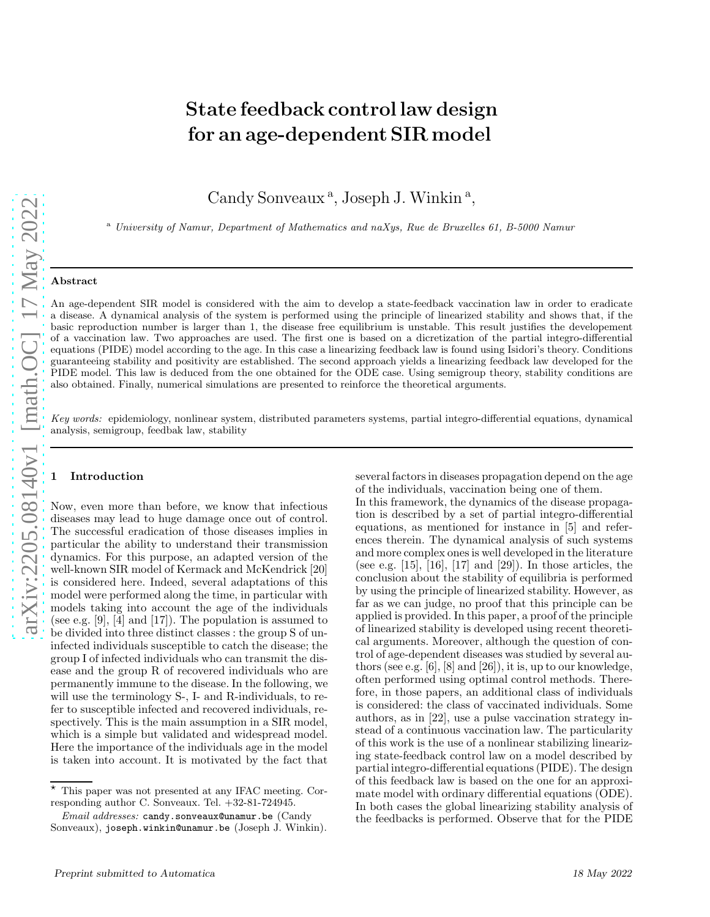# State feedback control law design for an age-dependent SIR model

Candy Sonveaux<sup>a</sup>, Joseph J. Winkin<sup>a</sup>,

<sup>a</sup> University of Namur, Department of Mathematics and naXys, Rue de Bruxelles 61, B-5000 Namur

#### Abstract

An age-dependent SIR model is considered with the aim to develop a state-feedback vaccination law in order to eradicate a disease. A dynamical analysis of the system is performed using the principle of linearized stability and shows that, if the basic reproduction number is larger than 1, the disease free equilibrium is unstable. This result justifies the developement of a vaccination law. Two approaches are used. The first one is based on a dicretization of the partial integro-differential equations (PIDE) model according to the age. In this case a linearizing feedback law is found using Isidori's theory. Conditions guaranteeing stability and positivity are established. The second approach yields a linearizing feedback law developed for the PIDE model. This law is deduced from the one obtained for the ODE case. Using semigroup theory, stability conditions are also obtained. Finally, numerical simulations are presented to reinforce the theoretical arguments.

Key words: epidemiology, nonlinear system, distributed parameters systems, partial integro-differential equations, dynamical analysis, semigroup, feedbak law, stability

# **Introduction**

Now, even more than before, we know that infectious diseases may lead to huge damage once out of control. The successful eradication of those diseases implies in particular the ability to understand their transmission dynamics. For this purpose, an adapted version of the well-known SIR model of Kermack and McKendrick [20] is considered here. Indeed, several adaptations of this model were performed along the time, in particular with models taking into account the age of the individuals (see e.g. [9], [4] and [17]). The population is assumed to be divided into three distinct classes : the group S of uninfected individuals susceptible to catch the disease; the group I of infected individuals who can transmit the disease and the group R of recovered individuals who are permanently immune to the disease. In the following, we will use the terminology S-, I- and R-individuals, to refer to susceptible infected and recovered individuals, respectively. This is the main assumption in a SIR model, which is a simple but validated and widespread model. Here the importance of the individuals age in the model is taken into account. It is motivated by the fact that several factors in diseases propagation depend on the age of the individuals, vaccination being one of them.

In this framework, the dynamics of the disease propagation is described by a set of partial integro-differential equations, as mentioned for instance in [5] and references therein. The dynamical analysis of such systems and more complex ones is well developed in the literature (see e.g. [15], [16], [17] and [29]). In those articles, the conclusion about the stability of equilibria is performed by using the principle of linearized stability. However, as far as we can judge, no proof that this principle can be applied is provided. In this paper, a proof of the principle of linearized stability is developed using recent theoretical arguments. Moreover, although the question of control of age-dependent diseases was studied by several authors (see e.g. [6], [8] and [26]), it is, up to our knowledge, often performed using optimal control methods. Therefore, in those papers, an additional class of individuals is considered: the class of vaccinated individuals. Some authors, as in [22], use a pulse vaccination strategy instead of a continuous vaccination law. The particularity of this work is the use of a nonlinear stabilizing linearizing state-feedback control law on a model described by partial integro-differential equations (PIDE). The design of this feedback law is based on the one for an approximate model with ordinary differential equations (ODE). In both cases the global linearizing stability analysis of the feedbacks is performed. Observe that for the PIDE

This paper was not presented at any IFAC meeting. Corresponding author C. Sonveaux. Tel. +32-81-724945.

Email addresses: candy.sonveaux@unamur.be (Candy Sonveaux), joseph.winkin@unamur.be (Joseph J. Winkin).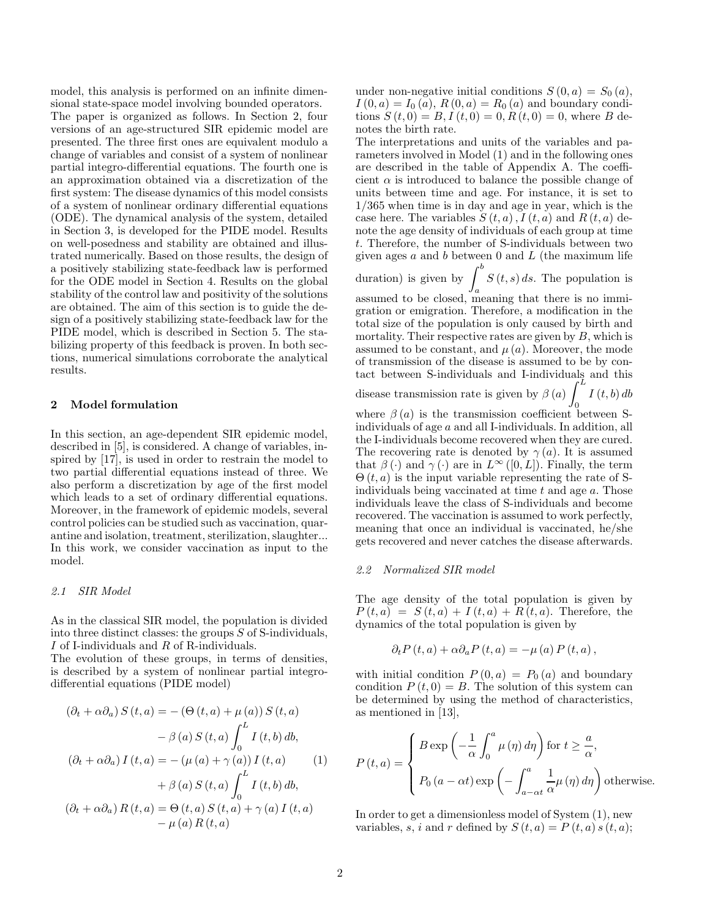model, this analysis is performed on an infinite dimensional state-space model involving bounded operators. The paper is organized as follows. In Section 2, four versions of an age-structured SIR epidemic model are presented. The three first ones are equivalent modulo a change of variables and consist of a system of nonlinear partial integro-differential equations. The fourth one is an approximation obtained via a discretization of the first system: The disease dynamics of this model consists of a system of nonlinear ordinary differential equations (ODE). The dynamical analysis of the system, detailed in Section 3, is developed for the PIDE model. Results on well-posedness and stability are obtained and illustrated numerically. Based on those results, the design of a positively stabilizing state-feedback law is performed for the ODE model in Section 4. Results on the global stability of the control law and positivity of the solutions are obtained. The aim of this section is to guide the design of a positively stabilizing state-feedback law for the PIDE model, which is described in Section 5. The stabilizing property of this feedback is proven. In both sections, numerical simulations corroborate the analytical results.

# 2 Model formulation

In this section, an age-dependent SIR epidemic model, described in [5], is considered. A change of variables, inspired by [17], is used in order to restrain the model to two partial differential equations instead of three. We also perform a discretization by age of the first model which leads to a set of ordinary differential equations. Moreover, in the framework of epidemic models, several control policies can be studied such as vaccination, quarantine and isolation, treatment, sterilization, slaughter... In this work, we consider vaccination as input to the model.

# 2.1 SIR Model

As in the classical SIR model, the population is divided into three distinct classes: the groups S of S-individuals, I of I-individuals and R of R-individuals.

The evolution of these groups, in terms of densities, is described by a system of nonlinear partial integrodifferential equations (PIDE model)

$$
(\partial_t + \alpha \partial_a) S(t, a) = -(\Theta(t, a) + \mu(a)) S(t, a)
$$

$$
- \beta(a) S(t, a) \int_0^L I(t, b) db,
$$

$$
(\partial_t + \alpha \partial_a) I(t, a) = -(\mu(a) + \gamma(a)) I(t, a)
$$
(1)
$$
+ \beta(a) S(t, a) \int_0^L I(t, b) db,
$$

$$
(\partial_t + \alpha \partial_a) R(t, a) = \Theta(t, a) S(t, a) + \gamma(a) I(t, a)
$$

$$
- \mu(a) R(t, a)
$$

under non-negative initial conditions  $S(0, a) = S_0(a)$ ,  $I(0, a) = I_0(a), R(0, a) = R_0(a)$  and boundary conditions  $S(t, 0) = B, I(t, 0) = 0, R(t, 0) = 0$ , where B denotes the birth rate.

The interpretations and units of the variables and parameters involved in Model (1) and in the following ones are described in the table of Appendix A. The coefficient  $\alpha$  is introduced to balance the possible change of units between time and age. For instance, it is set to 1/365 when time is in day and age in year, which is the case here. The variables  $S(t, a)$ ,  $I(t, a)$  and  $R(t, a)$  denote the age density of individuals of each group at time t. Therefore, the number of S-individuals between two given ages a and b between 0 and L (the maximum life

duration) is given by  $\int_a^b S(t,s) ds$ . The population is assumed to be closed, meaning that there is no immigration or emigration. Therefore, a modification in the total size of the population is only caused by birth and mortality. Their respective rates are given by  $B$ , which is assumed to be constant, and  $\mu(a)$ . Moreover, the mode of transmission of the disease is assumed to be by contact between S-individuals and I-individuals and this disease transmission rate is given by  $\beta(a)$  $\int_{0}^{1} I(t,b) db$ where  $\beta(a)$  is the transmission coefficient between Sindividuals of age a and all I-individuals. In addition, all the I-individuals become recovered when they are cured. The recovering rate is denoted by  $\gamma(a)$ . It is assumed that  $\beta(\cdot)$  and  $\gamma(\cdot)$  are in  $L^{\infty}([0,L])$ . Finally, the term  $\Theta(t, a)$  is the input variable representing the rate of Sindividuals being vaccinated at time  $t$  and age  $a$ . Those individuals leave the class of S-individuals and become recovered. The vaccination is assumed to work perfectly, meaning that once an individual is vaccinated, he/she gets recovered and never catches the disease afterwards.

# 2.2 Normalized SIR model

The age density of the total population is given by  $P(t, a) = S(t, a) + I(t, a) + R(t, a)$ . Therefore, the dynamics of the total population is given by

$$
\partial_{t} P(t, a) + \alpha \partial_{a} P(t, a) = -\mu(a) P(t, a),
$$

with initial condition  $P(0, a) = P_0(a)$  and boundary condition  $P(t, 0) = B$ . The solution of this system can be determined by using the method of characteristics, as mentioned in [13],

$$
P(t, a) = \begin{cases} B \exp\left(-\frac{1}{\alpha} \int_0^a \mu(\eta) d\eta\right) \text{for } t \ge \frac{a}{\alpha}, \\ P_0(a - \alpha t) \exp\left(-\int_{a - \alpha t}^a \frac{1}{\alpha} \mu(\eta) d\eta\right) \text{otherwise.} \end{cases}
$$

In order to get a dimensionless model of System (1), new variables, s, i and r defined by  $S(t, a) = P(t, a) s(t, a);$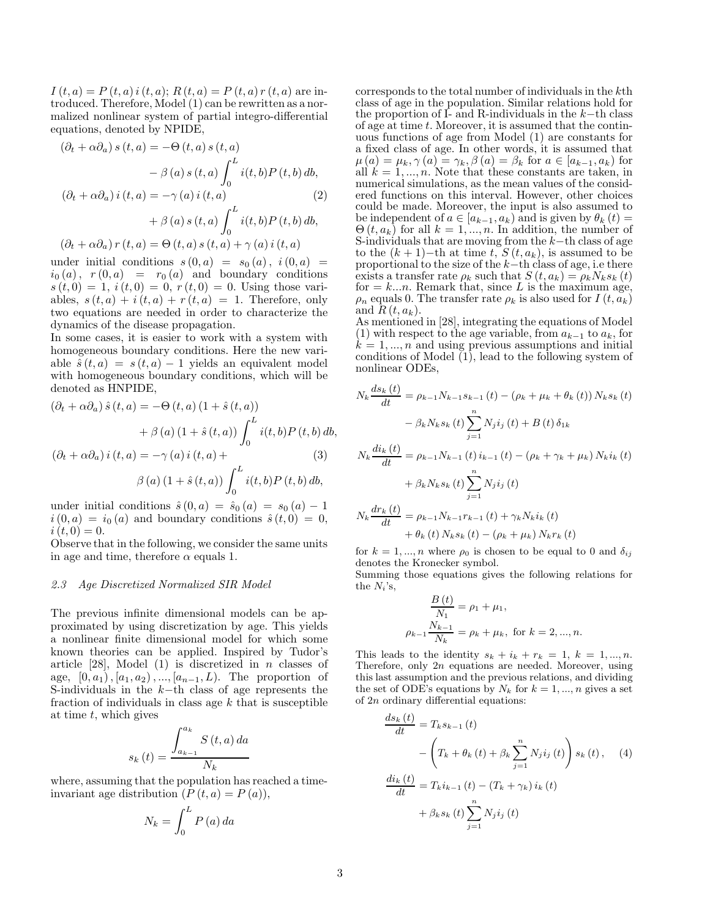$I(t, a) = P(t, a) i(t, a); R(t, a) = P(t, a) r(t, a)$  are introduced. Therefore, Model (1) can be rewritten as a normalized nonlinear system of partial integro-differential equations, denoted by NPIDE,

$$
(\partial_t + \alpha \partial_a) s(t, a) = -\Theta(t, a) s(t, a)
$$

$$
- \beta(a) s(t, a) \int_0^L i(t, b) P(t, b) db,
$$

$$
(\partial_t + \alpha \partial_a) i(t, a) = -\gamma(a) i(t, a)
$$
(2)
$$
+ \beta(a) s(t, a) \int_0^L i(t, b) P(t, b) db,
$$

$$
(\partial_t + \alpha \partial_a) r(t, a) = \Theta(t, a) s(t, a) + \gamma(a) i(t, a)
$$

under initial conditions  $s(0, a) = s_0(a), i(0, a) =$  $i_0(a)$ ,  $r(0, a) = r_0(a)$  and boundary conditions  $s(t, 0) = 1$ ,  $i(t, 0) = 0$ ,  $r(t, 0) = 0$ . Using those variables,  $s(t, a) + i(t, a) + r(t, a) = 1$ . Therefore, only two equations are needed in order to characterize the dynamics of the disease propagation.

In some cases, it is easier to work with a system with homogeneous boundary conditions. Here the new variable  $\hat{s}(t, a) = s(t, a) - 1$  yields an equivalent model with homogeneous boundary conditions, which will be denoted as HNPIDE,

$$
(\partial_t + \alpha \partial_a) \hat{s}(t, a) = -\Theta(t, a) (1 + \hat{s}(t, a))
$$

$$
+ \beta(a) (1 + \hat{s}(t, a)) \int_0^L i(t, b) P(t, b) db,
$$

$$
(\partial_t + \alpha \partial_a) i(t, a) = -\gamma(a) i(t, a) + (3)
$$

$$
\beta(a) (1 + \hat{s}(t, a)) \int_0^L i(t, b) P(t, b) db,
$$

under initial conditions  $\hat{s}(0, a) = \hat{s}_0(a) = s_0(a) - 1$  $i(0, a) = i_0(a)$  and boundary conditions  $\hat{s}(t, 0) = 0$ ,  $i(t, 0) = 0.$ 

Observe that in the following, we consider the same units in age and time, therefore  $\alpha$  equals 1.

#### 2.3 Age Discretized Normalized SIR Model

The previous infinite dimensional models can be approximated by using discretization by age. This yields a nonlinear finite dimensional model for which some known theories can be applied. Inspired by Tudor's article  $[28]$ , Model  $(1)$  is discretized in *n* classes of age,  $[0, a_1), [a_1, a_2), ..., [a_{n-1}, L]$ . The proportion of S-individuals in the  $k$ −th class of age represents the fraction of individuals in class age  $k$  that is susceptible at time  $t$ , which gives

$$
s_{k}\left(t\right) = \frac{\displaystyle\int_{a_{k-1}}^{a_{k}} S\left(t, a\right) da}{N_{k}}
$$

where, assuming that the population has reached a timeinvariant age distribution  $(P(t, a) = P(a))$ ,

$$
N_k = \int_0^L P(a) \, da
$$

corresponds to the total number of individuals in the kth class of age in the population. Similar relations hold for the proportion of I- and R-individuals in the  $k$ −th class of age at time t. Moreover, it is assumed that the continuous functions of age from Model (1) are constants for a fixed class of age. In other words, it is assumed that  $\mu(a) = \mu_k, \gamma(a) = \gamma_k, \beta(a) = \beta_k$  for  $a \in [a_{k-1}, a_k)$  for all  $k = 1, ..., n$ . Note that these constants are taken, in numerical simulations, as the mean values of the considered functions on this interval. However, other choices could be made. Moreover, the input is also assumed to be independent of  $a \in [a_{k-1}, a_k)$  and is given by  $\theta_k(t) =$  $\Theta(t, a_k)$  for all  $k = 1, ..., n$ . In addition, the number of S-individuals that are moving from the  $k$ -th class of age to the  $(k + 1)$ −th at time t,  $S(t, a_k)$ , is assumed to be proportional to the size of the  $k$ −th class of age, i.e there exists a transfer rate  $\rho_k$  such that  $S(t, a_k) = \rho_k N_k s_k(t)$ for  $= k...n$ . Remark that, since L is the maximum age,  $\rho_n$  equals 0. The transfer rate  $\rho_k$  is also used for  $I(t, a_k)$ and  $R(t, a_k)$ .

As mentioned in [28], integrating the equations of Model (1) with respect to the age variable, from  $a_{k-1}$  to  $a_k$ , for  $k = 1, \ldots, n$  and using previous assumptions and initial conditions of Model (1), lead to the following system of nonlinear ODEs,

$$
N_k \frac{ds_k(t)}{dt} = \rho_{k-1} N_{k-1} s_{k-1} (t) - (\rho_k + \mu_k + \theta_k (t)) N_k s_k (t)
$$
  

$$
- \beta_k N_k s_k (t) \sum_{j=1}^n N_j i_j (t) + B(t) \delta_{1k}
$$
  

$$
N_k \frac{di_k (t)}{dt} = \rho_{k-1} N_{k-1} (t) i_{k-1} (t) - (\rho_k + \gamma_k + \mu_k) N_k i_k (t)
$$
  

$$
+ \beta_k N_k s_k (t) \sum_{j=1}^n N_j i_j (t)
$$
  

$$
N_k \frac{dr_k (t)}{dt} = \rho_{k-1} N_{k-1} r_{k-1} (t) + \gamma_k N_k i_k (t)
$$
  

$$
+ \theta_k (t) N_k s_k (t) - (\rho_k + \mu_k) N_k r_k (t)
$$

for  $k = 1, ..., n$  where  $\rho_0$  is chosen to be equal to 0 and  $\delta_{ij}$ denotes the Kronecker symbol.

Summing those equations gives the following relations for the  $N_i$ 's,

$$
\frac{B(t)}{N_1} = \rho_1 + \mu_1,
$$
  

$$
\rho_{k-1} \frac{N_{k-1}}{N_k} = \rho_k + \mu_k, \text{ for } k = 2, ..., n.
$$

This leads to the identity  $s_k + i_k + r_k = 1, k = 1, ..., n$ . Therefore, only  $2n$  equations are needed. Moreover, using this last assumption and the previous relations, and dividing the set of ODE's equations by  $N_k$  for  $k = 1, ..., n$  gives a set of 2n ordinary differential equations:

$$
\frac{ds_k(t)}{dt} = T_k s_{k-1}(t)
$$

$$
- \left(T_k + \theta_k(t) + \beta_k \sum_{j=1}^n N_j i_j(t)\right) s_k(t), \quad (4)
$$

$$
\frac{di_k(t)}{dt} = T_k i_{k-1}(t) - (T_k + \gamma_k) i_k(t)
$$

$$
+ \beta_k s_k(t) \sum_{j=1}^n N_j i_j(t)
$$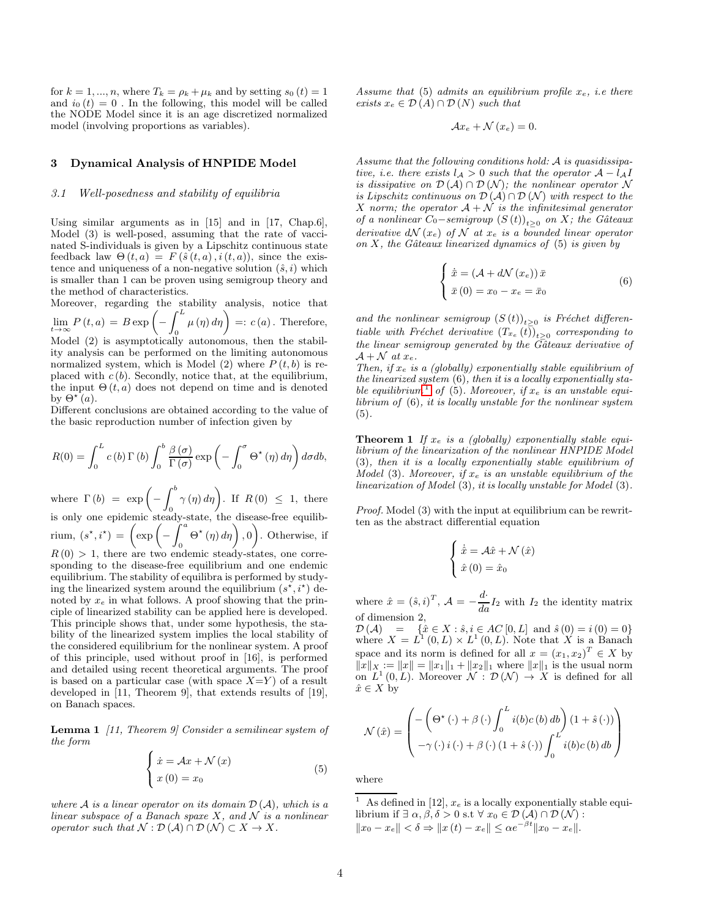for  $k = 1, ..., n$ , where  $T_k = \rho_k + \mu_k$  and by setting  $s_0(t) = 1$ and  $i_0(t) = 0$ . In the following, this model will be called the NODE Model since it is an age discretized normalized model (involving proportions as variables).

#### 3 Dynamical Analysis of HNPIDE Model

#### 3.1 Well-posedness and stability of equilibria

Using similar arguments as in [15] and in [17, Chap.6], Model (3) is well-posed, assuming that the rate of vaccinated S-individuals is given by a Lipschitz continuous state feedback law  $\Theta(t, a) = F(\hat{s}(t, a), i(t, a))$ , since the existence and uniqueness of a non-negative solution  $(\hat{s}, i)$  which is smaller than 1 can be proven using semigroup theory and the method of characteristics.

Moreover, regarding the stability analysis, notice that  $\lim_{t\to\infty} P(t,a) = B \exp \left(-\int_0^L$  $\int_0^L \mu(\eta) d\eta$  =:  $c(a)$ . Therefore, Model (2) is asymptotically autonomous, then the stability analysis can be performed on the limiting autonomous normalized system, which is Model  $(2)$  where  $P(t, b)$  is replaced with  $c(b)$ . Secondly, notice that, at the equilibrium, the input  $\Theta(t, a)$  does not depend on time and is denoted by  $\Theta^{\star}(a)$ .

Different conclusions are obtained according to the value of the basic reproduction number of infection given by

$$
R(0) = \int_0^L c(b) \Gamma(b) \int_0^b \frac{\beta(\sigma)}{\Gamma(\sigma)} \exp\left(-\int_0^{\sigma} \Theta^{\star}(\eta) d\eta\right) d\sigma db,
$$

where  $\Gamma(b) = \exp \left(-\int^b \right)$  $\int_0^b \gamma(\eta) d\eta$ . If  $R(0) \leq 1$ , there is only one epidemic steady-state, the disease-free equilibrium,  $(s^*, i^*) = \left(\exp\left(-\int^a\right)$  $\int_0^a \Theta^{\star}(\eta) d\eta\bigg)$ , 0). Otherwise, if  $R(0) > 1$ , there are two endemic steady-states, one corresponding to the disease-free equilibrium and one endemic equilibrium. The stability of equilibra is performed by study-

ing the linearized system around the equilibrium  $(s^*, i^*)$  denoted by  $x_e$  in what follows. A proof showing that the principle of linearized stability can be applied here is developed. This principle shows that, under some hypothesis, the stability of the linearized system implies the local stability of the considered equilibrium for the nonlinear system. A proof of this principle, used without proof in [16], is performed and detailed using recent theoretical arguments. The proof is based on a particular case (with space  $X=Y$ ) of a result developed in [11, Theorem 9], that extends results of [19], on Banach spaces.

**Lemma 1** [11, Theorem 9] Consider a semilinear system of the form

$$
\begin{cases}\n\dot{x} = Ax + \mathcal{N}(x) \\
x(0) = x_0\n\end{cases}
$$
\n(5)

where  $A$  is a linear operator on its domain  $D(A)$ , which is a linear subspace of a Banach spaxe  $X$ , and  $N$  is a nonlinear operator such that  $\mathcal{N} : \mathcal{D}(\mathcal{A}) \cap \mathcal{D}(\mathcal{N}) \subset X \to X$ .

Assume that (5) admits an equilibrium profile  $x_e$ , i.e there exists  $x_e \in \mathcal{D}(A) \cap \mathcal{D}(N)$  such that

$$
\mathcal{A}x_e + \mathcal{N}(x_e) = 0.
$$

Assume that the following conditions hold: A is quasidissipative, i.e. there exists  $l_A > 0$  such that the operator  $A - l_A I$ is dissipative on  $\mathcal{D}(\mathcal{A}) \cap \mathcal{D}(\mathcal{N})$ ; the nonlinear operator N is Lipschitz continuous on  $\mathcal{D}(\mathcal{A}) \cap \mathcal{D}(\mathcal{N})$  with respect to the X norm; the operator  $A + N$  is the infinitesimal generator of a nonlinear  $C_0$ -semigroup  $(S(t))_{t\geq 0}$  on X; the Gâteaux derivative  $dN(x_e)$  of N at  $x_e$  is a bounded linear operator on X, the Gâteaux linearized dynamics of  $(5)$  is given by

$$
\begin{cases} \n\dot{\bar{x}} = (\mathcal{A} + d\mathcal{N}(x_e)) \, \bar{x} \\
\bar{x}(0) = x_0 - x_e = \bar{x}_0\n\end{cases} \tag{6}
$$

and the nonlinear semigroup  $(S(t))_{t\geq0}$  is Fréchet differentiable with Fréchet derivative  $(T_{x_e}(t))_{t\geq0}$  corresponding to the linear semigroup generated by the  $G\hat{a}$ teaux derivative of  $A + \mathcal{N}$  at  $x_e$ .

Then, if  $x_e$  is a (globally) exponentially stable equilibrium of the linearized system  $(6)$ , then it is a locally exponentially sta-ble equilibrium<sup>[1](#page-3-0)</sup> of (5). Moreover, if  $x_e$  is an unstable equilibrium of (6), it is locally unstable for the nonlinear system (5).

**Theorem 1** If  $x_e$  is a (globally) exponentially stable equilibrium of the linearization of the nonlinear HNPIDE Model (3), then it is a locally exponentially stable equilibrium of Model (3). Moreover, if  $x_e$  is an unstable equilibrium of the linearization of Model (3), it is locally unstable for Model (3).

Proof. Model (3) with the input at equilibrium can be rewritten as the abstract differential equation

$$
\begin{cases} \dot{\hat{x}} = \mathcal{A}\hat{x} + \mathcal{N}(\hat{x}) \\ \hat{x}(0) = \hat{x}_0 \end{cases}
$$

where  $\hat{x} = (\hat{s}, i)^T$ ,  $\mathcal{A} = -\frac{d}{da}I_2$  with  $I_2$  the identity matrix of dimension 2,

 $\mathcal{D} (\mathcal{A}) = \{ \hat{x} \in X : \hat{s}, i \in AC [0, L] \text{ and } \hat{s} (0) = i (0) = 0 \}$ where  $X = L^1(0, L) \times L^1(0, L)$ . Note that X is a Banach space and its norm is defined for all  $x = (x_1, x_2)^T \in X$  by  $||x||_X := ||x|| = ||x_1||_1 + ||x_2||_1$  where  $||x||_1$  is the usual norm on  $L^1(0,L)$ . Moreover  $\mathcal N: \mathcal D(\mathcal N) \to X$  is defined for all  $\hat{x} \in X$  by

$$
\mathcal{N}(\hat{x}) = \begin{pmatrix} -\left(\Theta^{\star}(\cdot) + \beta(\cdot)\int_{0}^{L} i(b)c(b) db\right) (1 + \hat{s}(\cdot)) \\ -\gamma(\cdot) i(\cdot) + \beta(\cdot) (1 + \hat{s}(\cdot)) \int_{0}^{L} i(b)c(b) db \end{pmatrix}
$$

where

<span id="page-3-0"></span><sup>&</sup>lt;sup>1</sup> As defined in [12],  $x_e$  is a locally exponentially stable equilibrium if  $\exists \alpha, \beta, \delta > 0$  s.t  $\forall x_0 \in \mathcal{D}(\mathcal{A}) \cap \mathcal{D}(\mathcal{N})$ :  $||x_0 - x_e|| < \delta \Rightarrow ||x(t) - x_e|| \leq \alpha e^{-\beta t} ||x_0 - x_e||.$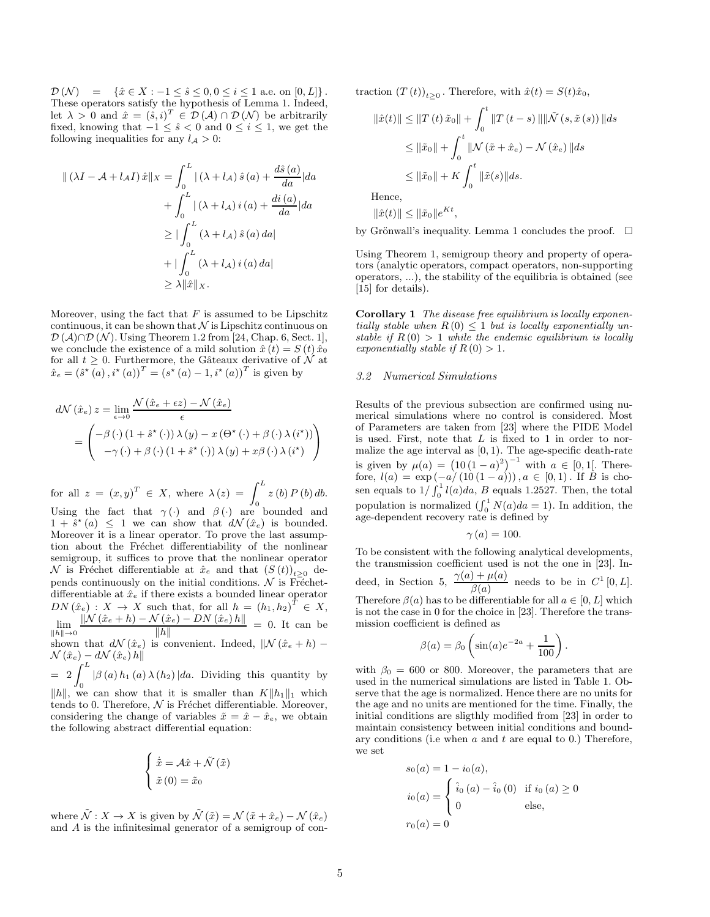$\mathcal{D}(\mathcal{N}) = \{\hat{x} \in X : -1 \leq \hat{s} \leq 0, 0 \leq i \leq 1 \text{ a.e. on } [0, L]\}.$ These operators satisfy the hypothesis of Lemma 1. Indeed, let  $\lambda > 0$  and  $\hat{x} = (\hat{s}, i)^T \in \mathcal{D}(\mathcal{A}) \cap \mathcal{D}(\mathcal{N})$  be arbitrarily fixed, knowing that  $-1 \leq \hat{s} < 0$  and  $0 \leq i \leq 1$ , we get the following inequalities for any  $l_A > 0$ :

$$
\begin{aligned} ||(\lambda I - \mathcal{A} + l_{\mathcal{A}}I) \hat{x}||_{X} &= \int_{0}^{L} |(\lambda + l_{\mathcal{A}}) \hat{s}(a) + \frac{d\hat{s}(a)}{da}| da \\ &+ \int_{0}^{L} |(\lambda + l_{\mathcal{A}}) i(a) + \frac{di(a)}{da}| da \\ &\geq | \int_{0}^{L} (\lambda + l_{\mathcal{A}}) \hat{s}(a) \, da| \\ &+ | \int_{0}^{L} (\lambda + l_{\mathcal{A}}) i(a) \, da| \\ &\geq \lambda ||\hat{x}||_{X} .\end{aligned}
$$

Moreover, using the fact that  $F$  is assumed to be Lipschitz continuous, it can be shown that  $N$  is Lipschitz continuous on  $\mathcal{D}(\mathcal{A}) \cap \mathcal{D}(\mathcal{N})$ . Using Theorem 1.2 from [24, Chap. 6, Sect. 1], we conclude the existence of a mild solution  $\hat{x}(t) = S(t)\hat{x}_0$ for all  $t \geq 0$ . Furthermore, the Gâteaux derivative of N at  $\hat{x}_e = (\hat{s}^*(a), i^*(a))^T = (s^*(a) - 1, i^*(a))^T$  is given by

$$
d\mathcal{N}(\hat{x}_e) z = \lim_{\epsilon \to 0} \frac{\mathcal{N}(\hat{x}_e + \epsilon z) - \mathcal{N}(\hat{x}_e)}{\epsilon}
$$
  
= 
$$
\begin{pmatrix} -\beta(\cdot) (1 + \hat{s}^*(\cdot)) \lambda(y) - x (\Theta^*(\cdot) + \beta(\cdot) \lambda(i^*)) \\ -\gamma(\cdot) + \beta(\cdot) (1 + \hat{s}^*(\cdot)) \lambda(y) + x \beta(\cdot) \lambda(i^*) \end{pmatrix}
$$

for all  $z = (x, y)^T \in X$ , where  $\lambda(z) = \int_0^L z(b) P(b) db$ .

Using the fact that  $\gamma(\cdot)$  and  $\beta(\cdot)$  are bounded and  $1 + \tilde{s}^*(a) \leq 1$  we can show that  $d\mathcal{N}(\hat{x}_e)$  is bounded. Moreover it is a linear operator. To prove the last assumption about the Fréchet differentiability of the nonlinear semigroup, it suffices to prove that the nonlinear operator N is Fréchet differentiable at  $\hat{x}_e$  and that  $(S(t))_{t\geq0}$  depends continuously on the initial conditions.  $N$  is Fréchetdifferentiable at  $\hat{x}_e$  if there exists a bounded linear operator  $DN(\hat{x}_e) : X \to X$  such that, for all  $h = (h_1, h_2)^T \in X$ ,  $\lim_{\|h\|\to 0}$  $\left\Vert \mathcal{N}\left(\hat{x}_{e}+h\right)-\mathcal{N}\left(\hat{x}_{e}\right)-D N\left(\hat{x}_{e}\right)h\right\Vert$  $\frac{c_{k}e^{-\frac{1}{2} \int \ln \left(\frac{1}{\ln \epsilon}\right)} - 0}{\|h\|} = 0$ . It can be  $\lim_{\|h\| \to 0} \frac{\|h\|}{\|h\|}$  = 0. It can be shown that  $d\mathcal{N}(\hat{x}_e)$  is convenient. Indeed,  $\|\mathcal{N}(\hat{x}_e + h) \mathcal{N}\left(\hat{x}_{e}\right)-d\mathcal{N}\left(\hat{x}_{e}\right)h\Vert$  $= 2 \int_0^L |\beta(a) h_1(a) \lambda(h_2)| da$ . Dividing this quantity by

 $||h||$ , we can show that it is smaller than  $K||h_1||_1$  which tends to 0. Therefore,  $\mathcal N$  is Fréchet differentiable. Moreover, considering the change of variables  $\tilde{x} = \hat{x} - \hat{x}_e$ , we obtain the following abstract differential equation:

$$
\begin{cases} \dot{\tilde{x}} = \mathcal{A}\hat{x} + \tilde{\mathcal{N}}(\tilde{x}) \\ \tilde{x}(0) = \tilde{x}_0 \end{cases}
$$

where  $\tilde{\mathcal{N}} : X \to X$  is given by  $\tilde{\mathcal{N}}(\tilde{x}) = \mathcal{N}(\tilde{x} + \hat{x}_e) - \mathcal{N}(\hat{x}_e)$ and A is the infinitesimal generator of a semigroup of contraction  $(T(t))_{t\geq 0}$ . Therefore, with  $\hat{x}(t) = S(t)\hat{x}_0$ ,

$$
\|\hat{x}(t)\| \le \|T(t)\,\tilde{x}_0\| + \int_0^t \|T(t-s)\|\|\tilde{\mathcal{N}}(s,\tilde{x}(s))\,\|ds
$$
  
\n
$$
\le \|\tilde{x}_0\| + \int_0^t \|\mathcal{N}(\tilde{x} + \hat{x}_e) - \mathcal{N}(\hat{x}_e)\,\|ds
$$
  
\n
$$
\le \|\tilde{x}_0\| + K \int_0^t \|\tilde{x}(s)\|ds.
$$

Hence,

$$
\|\hat{x}(t)\| \le \|\tilde{x}_0\|e^{Kt},
$$

by Grönwall's inequality. Lemma 1 concludes the proof.  $\Box$ 

Using Theorem 1, semigroup theory and property of operators (analytic operators, compact operators, non-supporting operators, ...), the stability of the equilibria is obtained (see [15] for details).

Corollary 1 The disease free equilibrium is locally exponentially stable when  $R(0) \leq 1$  but is locally exponentially unstable if  $R(0) > 1$  while the endemic equilibrium is locally exponentially stable if  $R(0) > 1$ .

# 3.2 Numerical Simulations

Results of the previous subsection are confirmed using numerical simulations where no control is considered. Most of Parameters are taken from [23] where the PIDE Model is used. First, note that  $L$  is fixed to 1 in order to normalize the age interval as  $[0, 1)$ . The age-specific death-rate is given by  $\mu(a) = (10(1-a)^2)^{-1}$  with  $a \in [0,1]$ . Therefore,  $l(a) = \exp(-a/(10(1-a)))$ ,  $a \in [0,1)$ . If B is chosen equals to  $1/\int_0^1 l(a)da$ , B equals 1.2527. Then, the total population is normalized  $\left(\int_0^1 N(a)da = 1\right)$ . In addition, the age-dependent recovery rate is defined by

$$
\gamma(a) = 100.
$$

To be consistent with the following analytical developments, the transmission coefficient used is not the one in [23]. Indeed, in Section 5,  $\frac{\gamma(a)+\mu(a)}{\beta(a)}$  needs to be in  $C^1[0,L]$ . Therefore  $\beta(a)$  has to be differentiable for all  $a \in [0, L]$  which is not the case in 0 for the choice in [23]. Therefore the transmission coefficient is defined as

$$
\beta(a) = \beta_0 \left( \sin(a) e^{-2a} + \frac{1}{100} \right)
$$

.

with  $\beta_0 = 600$  or 800. Moreover, the parameters that are used in the numerical simulations are listed in Table 1. Observe that the age is normalized. Hence there are no units for the age and no units are mentioned for the time. Finally, the initial conditions are sligthly modified from [23] in order to maintain consistency between initial conditions and boundary conditions (i.e when  $a$  and  $t$  are equal to 0.) Therefore, we set

$$
s_0(a) = 1 - i_0(a),
$$
  
\n
$$
i_0(a) = \begin{cases} \hat{i}_0(a) - \hat{i}_0(0) & \text{if } i_0(a) \ge 0 \\ 0 & \text{else,} \end{cases}
$$
  
\n
$$
r_0(a) = 0
$$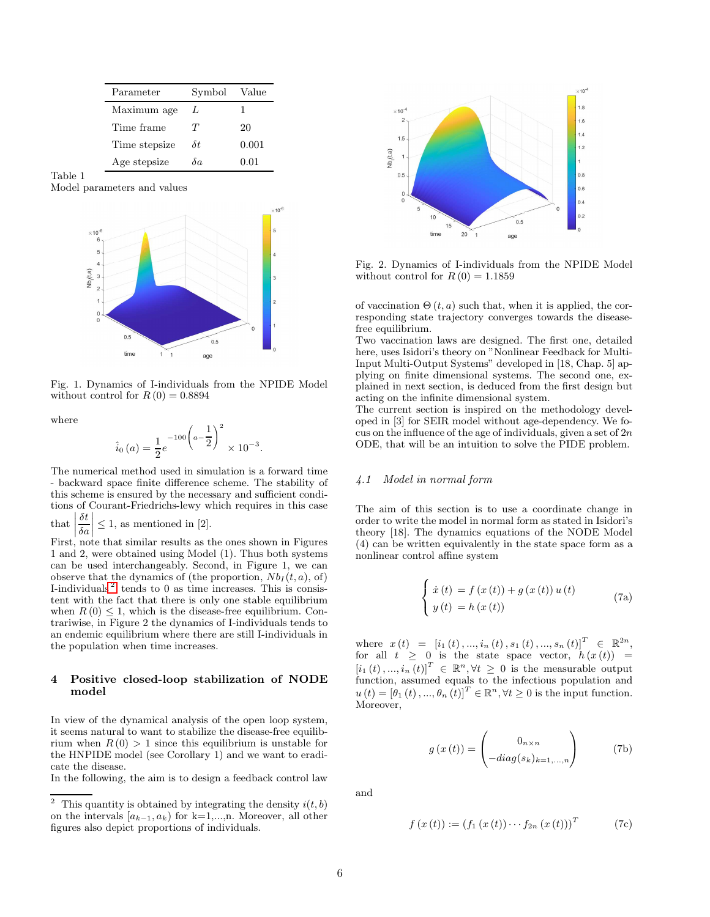| Parameter     | Symbol | Value |
|---------------|--------|-------|
| Maximum age   | Τ.     | ı     |
| Time frame    | Ŧ      | 20    |
| Time stepsize | δŧ     | 0.001 |
| Age stepsize  | δα     | 0.01  |

Table 1 Model parameters and values



Fig. 1. Dynamics of I-individuals from the NPIDE Model without control for  $R(0) = 0.8894$ 

where

$$
\hat{i}_0(a) = \frac{1}{2}e^{-100\left(a-\frac{1}{2}\right)^2} \times 10^{-3}
$$

.

The numerical method used in simulation is a forward time - backward space finite difference scheme. The stability of this scheme is ensured by the necessary and sufficient conditions of Courant-Friedrichs-lewy which requires in this case

that  $\overline{\phantom{a}}$ δt  $\delta a$  $\overline{\phantom{a}}$  $\overline{\phantom{a}}$ I  $\leq$  1, as mentioned in [2].

First, note that similar results as the ones shown in Figures 1 and 2, were obtained using Model (1). Thus both systems can be used interchangeably. Second, in Figure 1, we can observe that the dynamics of (the proportion,  $Nb<sub>I</sub>(t, a)$ , of) I-individuals<sup>[2](#page-5-0)</sup> tends to 0 as time increases. This is consistent with the fact that there is only one stable equilibrium when  $R(0) \leq 1$ , which is the disease-free equilibrium. Contrariwise, in Figure 2 the dynamics of I-individuals tends to an endemic equilibrium where there are still I-individuals in the population when time increases.

# 4 Positive closed-loop stabilization of NODE model

In view of the dynamical analysis of the open loop system, it seems natural to want to stabilize the disease-free equilibrium when  $R(0) > 1$  since this equilibrium is unstable for the HNPIDE model (see Corollary 1) and we want to eradicate the disease.

In the following, the aim is to design a feedback control law



Fig. 2. Dynamics of I-individuals from the NPIDE Model without control for  $R(0) = 1.1859$ 

of vaccination  $\Theta(t, a)$  such that, when it is applied, the corresponding state trajectory converges towards the diseasefree equilibrium.

Two vaccination laws are designed. The first one, detailed here, uses Isidori's theory on "Nonlinear Feedback for Multi-Input Multi-Output Systems" developed in [18, Chap. 5] applying on finite dimensional systems. The second one, explained in next section, is deduced from the first design but acting on the infinite dimensional system.

The current section is inspired on the methodology developed in [3] for SEIR model without age-dependency. We focus on the influence of the age of individuals, given a set of  $2n$ ODE, that will be an intuition to solve the PIDE problem.

# 4.1 Model in normal form

The aim of this section is to use a coordinate change in order to write the model in normal form as stated in Isidori's theory [18]. The dynamics equations of the NODE Model (4) can be written equivalently in the state space form as a nonlinear control affine system

$$
\begin{cases}\n\dot{x}(t) = f(x(t)) + g(x(t))u(t) \\
y(t) = h(x(t))\n\end{cases}
$$
\n(7a)

where  $x(t) = [i_1(t), ..., i_n(t), s_1(t), ..., s_n(t)]^T \in \mathbb{R}^{2n}$ , for all  $t \geq 0$  is the state space vector,  $h(x(t)) =$  $[i_1(t),...,i_n(t)]^T \in \mathbb{R}^n, \forall t \geq 0$  is the measurable output function, assumed equals to the infectious population and  $u(t) = [\theta_1(t), ..., \theta_n(t)]^T \in \mathbb{R}^n, \forall t \geq 0$  is the input function. Moreover,

$$
g(x(t)) = \begin{pmatrix} 0_{n \times n} \\ -diag(s_k)_{k=1,\dots,n} \end{pmatrix}
$$
 (7b)

and

$$
f(x(t)) := (f_1(x(t)) \cdots f_{2n}(x(t)))^T
$$
 (7c)

<span id="page-5-0"></span><sup>&</sup>lt;sup>2</sup> This quantity is obtained by integrating the density  $i(t, b)$ on the intervals  $[a_{k-1}, a_k)$  for k=1,...,n. Moreover, all other figures also depict proportions of individuals.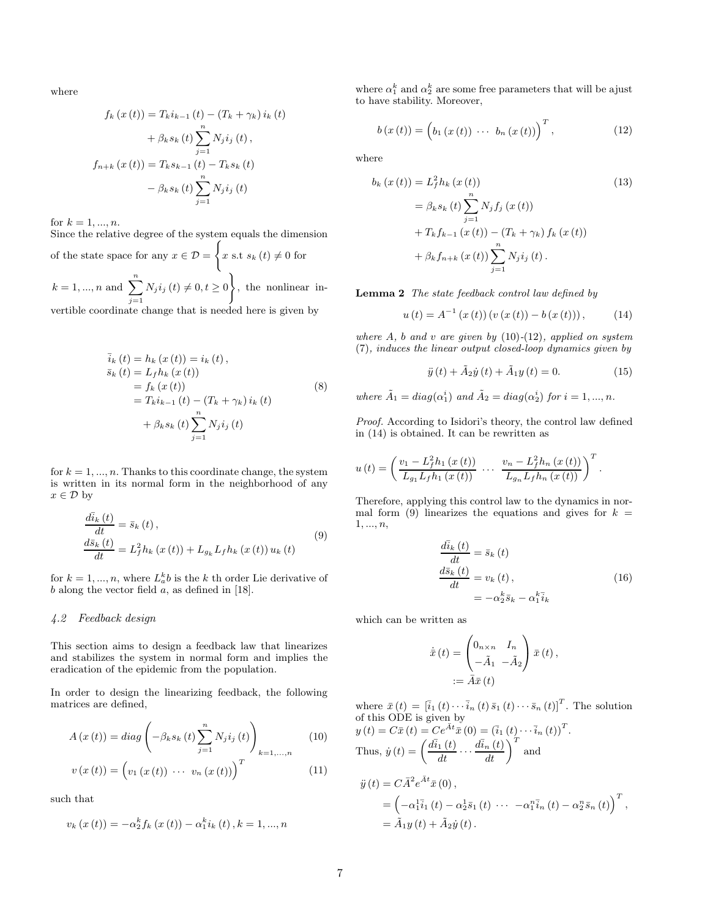where

$$
f_k(x(t)) = T_k i_{k-1} (t) - (T_k + \gamma_k) i_k (t)
$$
  
+  $\beta_k s_k (t) \sum_{j=1}^n N_j i_j (t)$ ,  

$$
f_{n+k} (x(t)) = T_k s_{k-1} (t) - T_k s_k (t)
$$
  
-  $\beta_k s_k (t) \sum_{j=1}^n N_j i_j (t)$ 

for  $k = 1, ..., n$ .

Since the relative degree of the system equals the dimension of the state space for any  $x \in \mathcal{D}$  =  $\sqrt{2}$ x s.t  $s_k(t) \neq 0$  for

 $k = 1, ..., n$  and  $\sum_{n=1}^{n}$  $j=1$  $N_j i_j (t) \neq 0, t \geq 0$ ) , the nonlinear invertible coordinate change that is needed here is given by

$$
\bar{i}_{k}(t) = h_{k}(x(t)) = i_{k}(t), \n\bar{s}_{k}(t) = L_{f}h_{k}(x(t)) \n= f_{k}(x(t)) \n= T_{k}i_{k-1}(t) - (T_{k} + \gamma_{k})i_{k}(t) \n+ \beta_{k}s_{k}(t) \sum_{j=1}^{n} N_{j}i_{j}(t)
$$
\n(8)

for  $k = 1, ..., n$ . Thanks to this coordinate change, the system is written in its normal form in the neighborhood of any  $x \in \mathcal{D}$  by

$$
\frac{d\bar{i}_k(t)}{dt} = \bar{s}_k(t),
$$
\n
$$
\frac{d\bar{s}_k(t)}{dt} = L_f^2 h_k(x(t)) + L_{g_k} L_f h_k(x(t)) u_k(t)
$$
\n(9)

for  $k = 1, ..., n$ , where  $L_a^k b$  is the k th order Lie derivative of  $b$  along the vector field  $a$ , as defined in [18].

## 4.2 Feedback design

This section aims to design a feedback law that linearizes and stabilizes the system in normal form and implies the eradication of the epidemic from the population.

In order to design the linearizing feedback, the following matrices are defined,

$$
A\left(x\left(t\right)\right) = diag\left(-\beta_k s_k\left(t\right) \sum_{j=1}^n N_j i_j\left(t\right)\right)_{k=1,\ldots,n} \tag{10}
$$

$$
v(x(t)) = (v_1(x(t)) \cdots v_n(x(t)))^T
$$
 (11)

such that

$$
v_{k}\left(x\left(t\right)\right)=-\alpha_{2}^{k}f_{k}\left(x\left(t\right)\right)-\alpha_{1}^{k}i_{k}\left(t\right),k=1,...,n
$$

where  $\alpha_1^k$  and  $\alpha_2^k$  are some free parameters that will be ajust to have stability. Moreover,

$$
b(x(t)) = (b_1(x(t)) \cdots b_n(x(t)))^T, \qquad (12)
$$

where

$$
b_k(x(t)) = L_f^2 h_k(x(t))
$$
\n
$$
= \beta_k s_k(t) \sum_{j=1}^n N_j f_j(x(t))
$$
\n
$$
+ T_k f_{k-1}(x(t)) - (T_k + \gamma_k) f_k(x(t))
$$
\n
$$
+ \beta_k f_{n+k}(x(t)) \sum_{j=1}^n N_j i_j(t).
$$
\n(13)

Lemma 2 The state feedback control law defined by

$$
u(t) = A^{-1}(x(t))(v(x(t)) - b(x(t))), \qquad (14)
$$

where  $A$ ,  $b$  and  $v$  are given by  $(10)-(12)$ , applied on system (7), induces the linear output closed-loop dynamics given by

$$
\ddot{y}(t) + \tilde{A}_2 \dot{y}(t) + \tilde{A}_1 y(t) = 0.
$$
 (15)

where  $\tilde{A}_1 = diag(\alpha_1^i)$  and  $\tilde{A}_2 = diag(\alpha_2^i)$  for  $i = 1, ..., n$ .

Proof. According to Isidori's theory, the control law defined in (14) is obtained. It can be rewritten as

$$
u(t) = \left(\frac{v_1 - L_f^2 h_1(x(t))}{L_{g_1} L_f h_1(x(t))} \cdots \frac{v_n - L_f^2 h_n(x(t))}{L_{g_n} L_f h_n(x(t))}\right)^T.
$$

Therefore, applying this control law to the dynamics in normal form (9) linearizes the equations and gives for  $k =$  $1, ..., n$ ,

$$
\begin{aligned}\n\frac{d\bar{i}_k(t)}{dt} &= \bar{s}_k(t) \\
\frac{d\bar{s}_k(t)}{dt} &= v_k(t), \\
&= -\alpha_2^k \bar{s}_k - \alpha_1^k \bar{i}_k\n\end{aligned} \tag{16}
$$

which can be written as

$$
\dot{\bar{x}}(t) = \begin{pmatrix} 0_{n \times n} & I_n \\ -\tilde{A}_1 & -\tilde{A}_2 \end{pmatrix} \bar{x}(t),
$$
  

$$
:= \bar{A}\bar{x}(t)
$$

where  $\bar{x}(t) = \left[\bar{i}_1(t) \cdots \bar{i}_n(t) \,\bar{s}_1(t) \cdots \bar{s}_n(t)\right]^T$ . The solution of this ODE is given by  $y(t) = C\bar{x}(t) = Ce^{\bar{A}t}\bar{x}(0) = (\bar{i}_{1}(t)\cdots\bar{i}_{n}(t))^{T}.$ Thus,  $\dot{y}(t) = \left(\frac{d\bar{i}_1(t)}{dt} \cdots \frac{d\bar{i}_n(t)}{dt}\right)^T$  and  $\ddot{y}(t) = C \overline{A}^2 e^{\overline{A}t} \overline{x}(0),$ 

$$
g(t) = CA e^{-x} d(0),
$$
  
=  $\left(-\alpha_1^1 \bar{i}_1(t) - \alpha_2^1 \bar{s}_1(t) \cdots -\alpha_1^n \bar{i}_n(t) - \alpha_2^n \bar{s}_n(t)\right)^T,$   
=  $\tilde{A}_1 y(t) + \tilde{A}_2 \dot{y}(t).$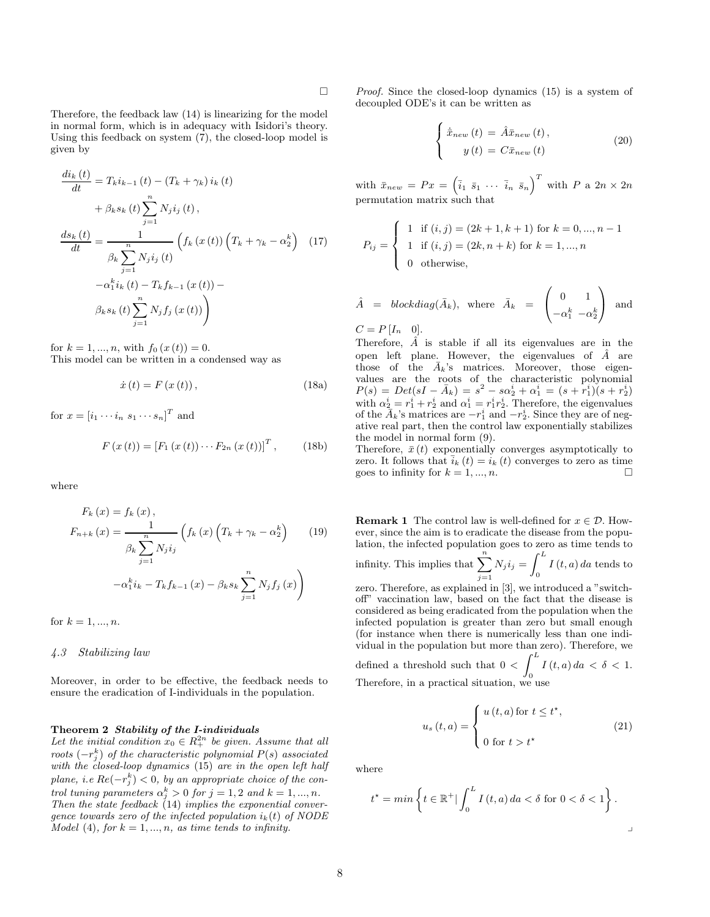Therefore, the feedback law (14) is linearizing for the model in normal form, which is in adequacy with Isidori's theory. Using this feedback on system (7), the closed-loop model is given by

$$
\frac{di_k(t)}{dt} = T_k i_{k-1} (t) - (T_k + \gamma_k) i_k (t) \n+ \beta_k s_k (t) \sum_{j=1}^n N_j i_j (t), \n\frac{ds_k(t)}{dt} = \frac{1}{\beta_k \sum_{j=1}^n N_j i_j (t)} \left( f_k (x(t)) \left( T_k + \gamma_k - \alpha_2^k \right) (17) \n- \alpha_1^k i_k (t) - T_k f_{k-1} (x(t)) - \n\beta_k s_k (t) \sum_{j=1}^n N_j f_j (x(t)) \right)
$$

for  $k = 1, ..., n$ , with  $f_0(x(t)) = 0$ .

This model can be written in a condensed way as

$$
\dot{x}(t) = F(x(t)), \qquad (18a)
$$

for  $x = [i_1 \cdots i_n \ s_1 \cdots s_n]^T$  and

$$
F(x(t)) = [F_1(x(t)) \cdots F_{2n}(x(t))]^T, \qquad (18b)
$$

where

$$
F_k(x) = f_k(x),
$$
  
\n
$$
F_{n+k}(x) = \frac{1}{\beta_k \sum_{j=1}^n N_j i_j} \left( f_k(x) \left( T_k + \gamma_k - \alpha_2^k \right) \right)
$$
(19)  
\n
$$
-\alpha_1^k i_k - T_k f_{k-1}(x) - \beta_k s_k \sum_{j=1}^n N_j f_j(x) \right)
$$

for  $k = 1, ..., n$ .

#### 4.3 Stabilizing law

Moreover, in order to be effective, the feedback needs to ensure the eradication of I-individuals in the population.

#### Theorem 2 Stability of the I-individuals

Let the initial condition  $x_0 \in R_+^{2n}$  be given. Assume that all roots  $(-r_j^k)$  of the characteristic polynomial  $P(s)$  associated with the closed-loop dynamics (15) are in the open left half plane, i.e  $Re(-r_j^k) < 0$ , by an appropriate choice of the control tuning parameters  $\alpha_j^k > 0$  for  $j = 1, 2$  and  $k = 1, ..., n$ . Then the state feedback  $(14)$  implies the exponential convergence towards zero of the infected population  $i_k(t)$  of NODE Model (4), for  $k = 1, ..., n$ , as time tends to infinity.

Proof. Since the closed-loop dynamics (15) is a system of decoupled ODE's it can be written as

$$
\begin{cases} \n\dot{\bar{x}}_{new}(t) = \hat{A}\bar{x}_{new}(t),\\ \ny(t) = C\bar{x}_{new}(t) \n\end{cases} \n\tag{20}
$$

with  $\bar{x}_{new} = Px = \left(\bar{i}_1 \ \bar{s}_1 \ \cdots \ \bar{i}_n \ \bar{s}_n\right)^T$  with P a  $2n \times 2n$ permutation matrix such that

$$
P_{ij} = \begin{cases} 1 & \text{if } (i,j) = (2k+1, k+1) \text{ for } k = 0, ..., n-1 \\ 1 & \text{if } (i,j) = (2k, n+k) \text{ for } k = 1, ..., n \\ 0 & \text{otherwise,} \end{cases}
$$

$$
\hat{A} = blockdiag(\bar{A}_k)
$$
, where  $\bar{A}_k = \begin{pmatrix} 0 & 1 \\ -\alpha_1^k & -\alpha_2^k \end{pmatrix}$  and   
\n $C = P[I_n \space 0]$ .

Therefore,  $\hat{A}$  is stable if all its eigenvalues are in the open left plane. However, the eigenvalues of  $\hat{A}$  are those of the  $\bar{A}_k$ 's matrices. Moreover, those eigenvalues are the roots of the characteristic polynomial  $P(s) = Det(sI - \bar{A}_k) = s^2 - s\alpha_2^i + \alpha_1^i = (s + r_1^i)(s + r_2^i)$ with  $\alpha_2^i = r_1^i + r_2^i$  and  $\alpha_1^i = r_1^i r_2^i$ . Therefore, the eigenvalues of the  $\bar{A}_k$ 's matrices are  $-r_1^i$  and  $-r_2^i$ . Since they are of negative real part, then the control law exponentially stabilizes the model in normal form (9).

Therefore,  $\bar{x}(t)$  exponentially converges asymptotically to zero. It follows that  $\bar{i}_k(t) = i_k(t)$  converges to zero as time goes to infinity for  $k = 1, ..., n$ .

**Remark 1** The control law is well-defined for  $x \in \mathcal{D}$ . However, since the aim is to eradicate the disease from the population, the infected population goes to zero as time tends to

infinity. This implies that  $\sum_{n=1}^n$  $j=1$  $N_j i_j = \int^L$  $I(t, a)$  da tends to

zero. Therefore, as explained in [3], we introduced a "switchoff" vaccination law, based on the fact that the disease is considered as being eradicated from the population when the infected population is greater than zero but small enough (for instance when there is numerically less than one individual in the population but more than zero). Therefore, we defined a threshold such that  $0 < \int_0^L$  $\int_{0}^{1} I(t, a) da < \delta < 1.$ 

Therefore, in a practical situation, we use

$$
u_s(t,a) = \begin{cases} u(t,a) \text{ for } t \le t^*, \\ 0 \text{ for } t > t^* \end{cases}
$$
 (21)

where

$$
t^* = \min\left\{t \in \mathbb{R}^+ \mid \int_0^L I(t, a) \, da < \delta \text{ for } 0 < \delta < 1\right\}.
$$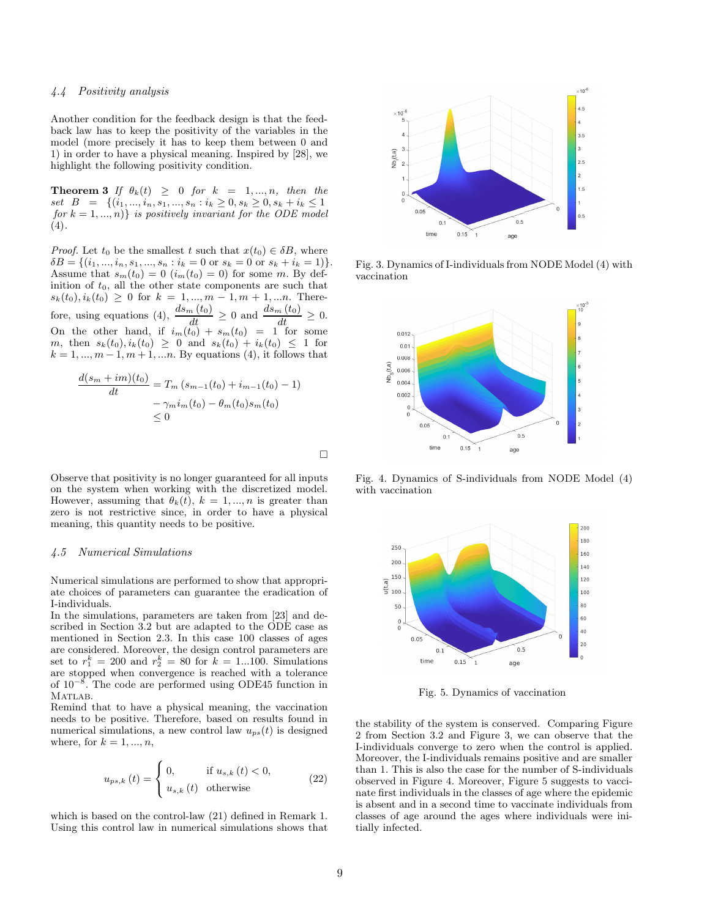#### 4.4 Positivity analysis

Another condition for the feedback design is that the feedback law has to keep the positivity of the variables in the model (more precisely it has to keep them between 0 and 1) in order to have a physical meaning. Inspired by [28], we highlight the following positivity condition.

**Theorem 3** If  $\theta_k(t) \geq 0$  for  $k = 1, ..., n$ , then the set  $B = \{(i_1, ..., i_n, s_1, ..., s_n : i_k \geq 0, s_k \geq 0, s_k + i_k \leq 1\}$ for  $k = 1, ..., n$ } is positively invariant for the ODE model  $(4).$ 

*Proof.* Let  $t_0$  be the smallest  $t$  such that  $x(t_0) \in \delta B$ , where  $\delta B = \{ (i_1, ..., i_n, s_1, ..., s_n : i_k = 0 \text{ or } s_k = 0 \text{ or } s_k + i_k = 1) \}.$ Assume that  $s_m(t_0) = 0$   $(i_m(t_0) = 0)$  for some m. By definition of  $t_0$ , all the other state components are such that  $s_k(t_0), i_k(t_0) \geq 0$  for  $k = 1, ..., m - 1, m + 1, ...n$ . Therefore, using equations (4),  $\frac{ds_m(t_0)}{dt} \ge 0$  and  $\frac{ds_m(t_0)}{dt} \ge 0$ .<br>On the other hand, if  $i_m(t_0) + s_m(t_0) = 1$  for some m, then  $s_k(t_0), i_k(t_0) \geq 0$  and  $s_k(t_0) + i_k(t_0) \leq 1$  for  $k = 1, ..., m - 1, m + 1, ... n$ . By equations (4), it follows that

$$
\frac{d(s_m + im)(t_0)}{dt} = T_m (s_{m-1}(t_0) + i_{m-1}(t_0) - 1)
$$
  

$$
- \gamma_m i_m(t_0) - \theta_m(t_0) s_m(t_0)
$$
  

$$
\leq 0
$$

 $\Box$ 

Observe that positivity is no longer guaranteed for all inputs on the system when working with the discretized model. However, assuming that  $\theta_k(t)$ ,  $k = 1, ..., n$  is greater than zero is not restrictive since, in order to have a physical meaning, this quantity needs to be positive.

# 4.5 Numerical Simulations

Numerical simulations are performed to show that appropriate choices of parameters can guarantee the eradication of I-individuals.

In the simulations, parameters are taken from [23] and described in Section 3.2 but are adapted to the ODE case as mentioned in Section 2.3. In this case 100 classes of ages are considered. Moreover, the design control parameters are set to  $r_1^k = 200$  and  $r_2^k = 80$  for  $k = 1...100$ . Simulations are stopped when convergence is reached with a tolerance of 10<sup>−</sup><sup>8</sup> . The code are performed using ODE45 function in MATLAB.

Remind that to have a physical meaning, the vaccination needs to be positive. Therefore, based on results found in numerical simulations, a new control law  $u_{ps}(t)$  is designed where, for  $k = 1, ..., n$ ,

$$
u_{ps,k}(t) = \begin{cases} 0, & \text{if } u_{s,k}(t) < 0, \\ u_{s,k}(t) & \text{otherwise} \end{cases}
$$
 (22)

which is based on the control-law (21) defined in Remark 1. Using this control law in numerical simulations shows that



Fig. 3. Dynamics of I-individuals from NODE Model (4) with vaccination



Fig. 4. Dynamics of S-individuals from NODE Model (4) with vaccination



Fig. 5. Dynamics of vaccination

the stability of the system is conserved. Comparing Figure 2 from Section 3.2 and Figure 3, we can observe that the I-individuals converge to zero when the control is applied. Moreover, the I-individuals remains positive and are smaller than 1. This is also the case for the number of S-individuals observed in Figure 4. Moreover, Figure 5 suggests to vaccinate first individuals in the classes of age where the epidemic is absent and in a second time to vaccinate individuals from classes of age around the ages where individuals were initially infected.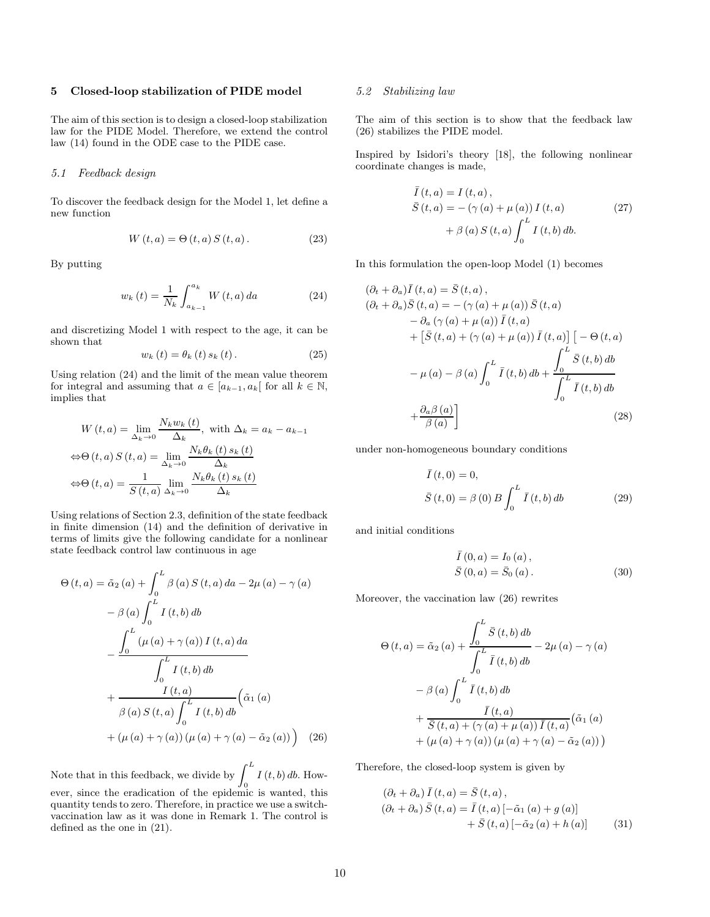# 5 Closed-loop stabilization of PIDE model

The aim of this section is to design a closed-loop stabilization law for the PIDE Model. Therefore, we extend the control law (14) found in the ODE case to the PIDE case.

#### 5.1 Feedback design

To discover the feedback design for the Model 1, let define a new function

$$
W(t, a) = \Theta(t, a) S(t, a). \qquad (23)
$$

By putting

$$
w_{k}(t) = \frac{1}{N_{k}} \int_{a_{k-1}}^{a_{k}} W(t, a) da
$$
 (24)

and discretizing Model 1 with respect to the age, it can be shown that

$$
w_k(t) = \theta_k(t) s_k(t).
$$
 (25)

Using relation (24) and the limit of the mean value theorem for integral and assuming that  $a \in [a_{k-1}, a_k]$  for all  $k \in \mathbb{N}$ , implies that

$$
W(t, a) = \lim_{\Delta_k \to 0} \frac{N_k w_k(t)}{\Delta_k}, \text{ with } \Delta_k = a_k - a_{k-1}
$$

$$
\Leftrightarrow \Theta(t, a) S(t, a) = \lim_{\Delta_k \to 0} \frac{N_k \theta_k(t) s_k(t)}{\Delta_k}
$$

$$
\Leftrightarrow \Theta(t, a) = \frac{1}{S(t, a)} \lim_{\Delta_k \to 0} \frac{N_k \theta_k(t) s_k(t)}{\Delta_k}
$$

Using relations of Section 2.3, definition of the state feedback in finite dimension (14) and the definition of derivative in terms of limits give the following candidate for a nonlinear state feedback control law continuous in age

$$
\Theta(t, a) = \tilde{\alpha}_{2}(a) + \int_{0}^{L} \beta(a) S(t, a) da - 2\mu(a) - \gamma(a) \n- \beta(a) \int_{0}^{L} I(t, b) db \n- \frac{\int_{0}^{L} (\mu(a) + \gamma(a)) I(t, a) da}{\int_{0}^{L} I(t, b) db} \n+ \frac{I(t, a)}{\beta(a) S(t, a) \int_{0}^{L} I(t, b) db} (\tilde{\alpha}_{1}(a) \n+ (\mu(a) + \gamma(a)) (\mu(a) + \gamma(a) - \tilde{\alpha}_{2}(a)) )
$$
 (26)

Note that in this feedback, we divide by  $\int_0^L I(t, b) dt$ . However, since the eradication of the epidemic is wanted, this quantity tends to zero. Therefore, in practice we use a switchvaccination law as it was done in Remark 1. The control is

defined as the one in (21).

# 5.2 Stabilizing law

The aim of this section is to show that the feedback law (26) stabilizes the PIDE model.

Inspired by Isidori's theory [18], the following nonlinear coordinate changes is made,

$$
\overline{I}(t, a) = I(t, a),
$$
\n
$$
\overline{S}(t, a) = -(\gamma(a) + \mu(a)) I(t, a)
$$
\n
$$
+ \beta(a) S(t, a) \int_0^L I(t, b) db.
$$
\n(27)

In this formulation the open-loop Model (1) becomes

$$
(\partial_t + \partial_a)\overline{I}(t, a) = \overline{S}(t, a),
$$
  
\n
$$
(\partial_t + \partial_a)\overline{S}(t, a) = -(\gamma(a) + \mu(a))\overline{S}(t, a)
$$
  
\n
$$
- \partial_a(\gamma(a) + \mu(a))\overline{I}(t, a)
$$
  
\n
$$
+ [\overline{S}(t, a) + (\gamma(a) + \mu(a))\overline{I}(t, a)] [-\Theta(t, a)
$$
  
\n
$$
- \mu(a) - \beta(a)\int_0^L \overline{I}(t, b) db + \frac{\int_0^L \overline{S}(t, b) db}{\int_0^L \overline{I}(t, b) db}
$$
  
\n
$$
+ \frac{\partial_a \beta(a)}{\beta(a)} \Big]
$$
\n(28)

under non-homogeneous boundary conditions

$$
\bar{I}(t,0) = 0,\n\bar{S}(t,0) = \beta(0) B \int_0^L \bar{I}(t,b) db
$$
\n(29)

and initial conditions

$$
\bar{I}(0, a) = I_0(a), \n\bar{S}(0, a) = \bar{S}_0(a).
$$
\n(30)

Moreover, the vaccination law (26) rewrites

$$
\Theta(t, a) = \tilde{\alpha}_{2}(a) + \frac{\int_{0}^{L} \bar{S}(t, b) db}{\int_{0}^{L} \bar{I}(t, b) db} - 2\mu(a) - \gamma(a)
$$

$$
- \beta(a) \int_{0}^{L} \bar{I}(t, b) db
$$

$$
+ \frac{\bar{I}(t, a)}{\bar{S}(t, a) + (\gamma(a) + \mu(a)) \bar{I}(t, a)} (\tilde{\alpha}_{1}(a) + (\mu(a) + \gamma(a)) (\mu(a) + \gamma(a) - \tilde{\alpha}_{2}(a)))
$$

Therefore, the closed-loop system is given by

$$
(\partial_t + \partial_a) \bar{I}(t, a) = \bar{S}(t, a),
$$
  
\n
$$
(\partial_t + \partial_a) \bar{S}(t, a) = \bar{I}(t, a) [-\tilde{\alpha}_1(a) + g(a)]
$$
  
\n
$$
+ \bar{S}(t, a) [-\tilde{\alpha}_2(a) + h(a)]
$$
\n(31)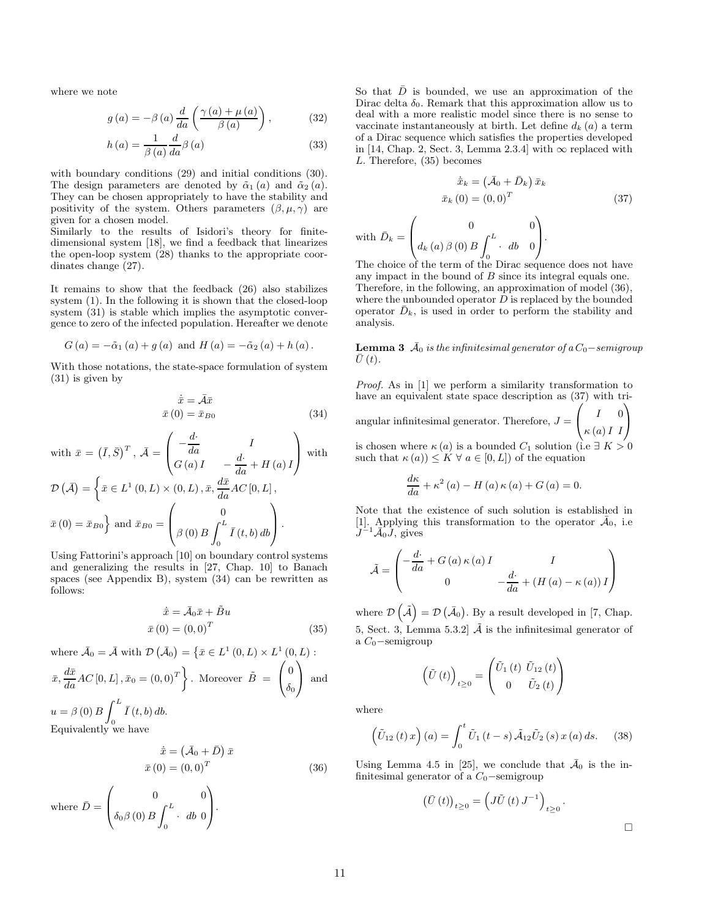where we note

$$
g(a) = -\beta(a) \frac{d}{da} \left( \frac{\gamma(a) + \mu(a)}{\beta(a)} \right), \tag{32}
$$

$$
h\left(a\right) = \frac{1}{\beta\left(a\right)} \frac{d}{da} \beta\left(a\right) \tag{33}
$$

with boundary conditions (29) and initial conditions (30). The design parameters are denoted by  $\tilde{\alpha}_1(a)$  and  $\tilde{\alpha}_2(a)$ . They can be chosen appropriately to have the stability and positivity of the system. Others parameters  $(\beta, \mu, \gamma)$  are given for a chosen model.

Similarly to the results of Isidori's theory for finitedimensional system [18], we find a feedback that linearizes the open-loop system (28) thanks to the appropriate coordinates change (27).

It remains to show that the feedback (26) also stabilizes system (1). In the following it is shown that the closed-loop system (31) is stable which implies the asymptotic convergence to zero of the infected population. Hereafter we denote

$$
G(a) = -\tilde{\alpha}_1(a) + g(a)
$$
 and  $H(a) = -\tilde{\alpha}_2(a) + h(a)$ .

With those notations, the state-space formulation of system (31) is given by

$$
\dot{\bar{x}} = \bar{\mathcal{A}}\bar{x}
$$

$$
\bar{x}(0) = \bar{x}_{B0}
$$
(34)

with 
$$
\bar{x} = (\bar{I}, \bar{S})^T
$$
,  $\bar{A} = \begin{pmatrix} -\frac{d}{da} & I \\ G(a)I & -\frac{d}{da} + H(a)I \end{pmatrix}$  with  
\n
$$
\mathcal{D}(\bar{A}) = \left\{ \bar{x} \in L^1(0, L) \times (0, L), \bar{x}, \frac{d\bar{x}}{da} AC[0, L], \bar{x}(0) = \bar{x}_{B0} \right\}
$$
 and  $\bar{x}_{B0} = \begin{pmatrix} 0 \\ \beta(0) B \int_0^L \bar{I}(t, b) db \end{pmatrix}$ .

Using Fattorini's approach [10] on boundary control systems and generalizing the results in [27, Chap. 10] to Banach spaces (see Appendix B), system (34) can be rewritten as follows:

$$
\dot{\bar{x}} = \bar{\mathcal{A}}_0 \bar{x} + \tilde{B} u
$$
  

$$
\bar{x}(0) = (0,0)^T
$$
 (35)

where 
$$
\bar{A}_0 = \bar{A}
$$
 with  $\mathcal{D}(\bar{A}_0) = {\bar{x} \in L^1(0, L) \times L^1(0, L) : \bar{x}, \frac{d\bar{x}}{da}AC[0, L], \bar{x}_0 = (0, 0)^T}$ . Moreover  $\tilde{B} = \begin{pmatrix} 0 \\ \delta_0 \end{pmatrix}$  and   
\n $u = \beta(0) B \int_0^L \bar{I}(t, b) db$ .  
\nEquivalently we have

$$
\dot{\bar{x}} = (\bar{A}_0 + \bar{D}) \bar{x}
$$
  

$$
\bar{x}(0) = (0,0)^T
$$
 (36)

where 
$$
\bar{D} = \begin{pmatrix} 0 & 0 \\ \delta_0 \beta (0) B \int_0^L \cdot db \ 0 \end{pmatrix}.
$$

So that  $\overline{D}$  is bounded, we use an approximation of the Dirac delta  $\delta_0$ . Remark that this approximation allow us to deal with a more realistic model since there is no sense to vaccinate instantaneously at birth. Let define  $d_k(a)$  a term of a Dirac sequence which satisfies the properties developed in [14, Chap. 2, Sect. 3, Lemma 2.3.4] with  $\infty$  replaced with L. Therefore, (35) becomes

$$
\dot{\bar{x}}_k = (\bar{\mathcal{A}}_0 + \bar{D}_k) \bar{x}_k
$$

$$
\bar{x}_k (0) = (0, 0)^T
$$
(37)

with 
$$
\bar{D}_k = \begin{pmatrix} 0 & 0 \\ d_k(a) \beta(0) B \int_0^L \cdot db & 0 \end{pmatrix}.
$$

The choice of the term of the Dirac sequence does not have any impact in the bound of B since its integral equals one. Therefore, in the following, an approximation of model (36), where the unbounded operator  $D$  is replaced by the bounded operator  $\bar{D}_k$ , is used in order to perform the stability and analysis.

**Lemma 3**  $A_0$  is the infinitesimal generator of a  $C_0$ −semigroup  $U(t)$ .

Proof. As in [1] we perform a similarity transformation to have an equivalent state space description as (37) with tri- $\sqrt{ }$  $\setminus$ 

angular infinitesimal generator. Therefore, 
$$
J = \begin{pmatrix} I & 0 \\ \kappa(a) & I \end{pmatrix}
$$
  
is chosen where  $\kappa(a)$  is a bounded  $C$ , solution (i.e.  $\exists K > 0$ )

is chosen where  $\kappa(a)$  is a bounded  $C_1$  solution (i.e  $\exists K > 0$ such that  $\kappa(a)$ )  $\leq K \forall a \in [0, L]$ ) of the equation

$$
\frac{d\kappa}{da} + \kappa^2(a) - H(a)\,\kappa(a) + G(a) = 0.
$$

Note that the existence of such solution is established in [1]. Applying this transformation to the operator  $\bar{\mathcal{A}}_0$ , i.e.  $J^{-1}\bar{\mathcal{A}}_0\hat{J}$ , gives

$$
\tilde{\mathcal{A}} = \begin{pmatrix} -\frac{d}{da} + G(a) \kappa(a) I & I \\ 0 & -\frac{d}{da} + (H(a) - \kappa(a)) I \end{pmatrix}
$$

where  $\mathcal{D}(\tilde{\mathcal{A}}) = \mathcal{D}(\tilde{\mathcal{A}}_0)$ . By a result developed in [7, Chap. 5, Sect. 3, Lemma 5.3.2]  $\tilde{A}$  is the infinitesimal generator of a  $C_0$ −semigroup

$$
\left(\tilde{U}\left(t\right)\right)_{t\geq0}=\begin{pmatrix}\tilde{U}_{1}\left(t\right)\;\tilde{U}_{12}\left(t\right)\\0&\tilde{U}_{2}\left(t\right)\end{pmatrix}
$$

where

$$
\left(\tilde{U}_{12}\left(t\right)x\right)(a) = \int_0^t \tilde{U}_1\left(t-s\right)\tilde{A}_{12}\tilde{U}_2\left(s\right)x\left(a\right)ds. \tag{38}
$$

Using Lemma 4.5 in [25], we conclude that  $\bar{A}_0$  is the infinitesimal generator of a  $C_0$ −semigroup

$$
\left(\bar{U}\left(t\right)\right)_{t\geq0}=\left(J\tilde{U}\left(t\right)J^{-1}\right)_{t\geq0}.
$$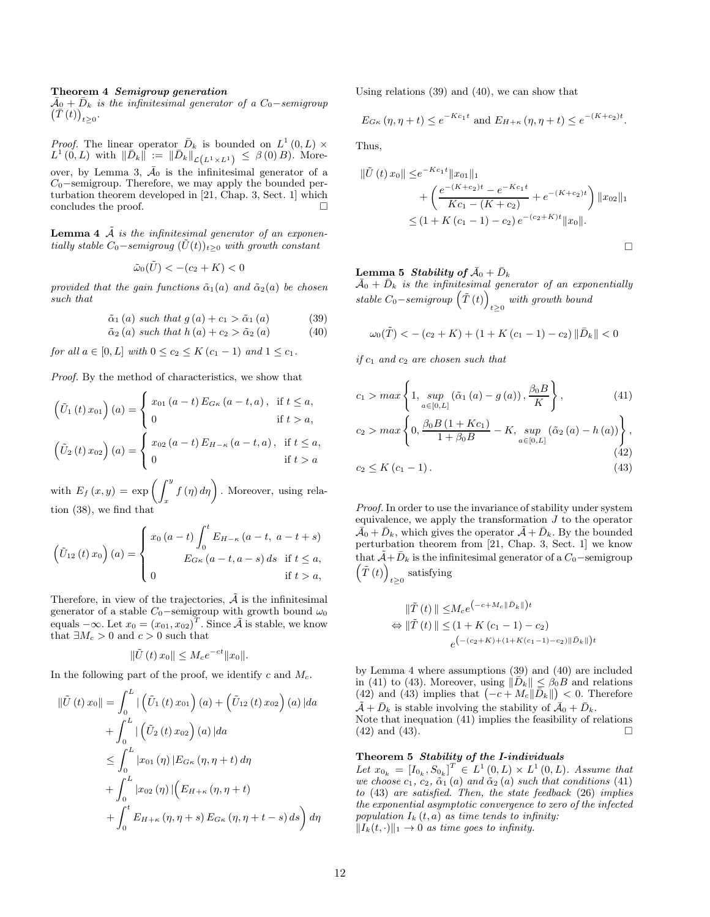#### Theorem 4 Semigroup generation

 $A_0 + D_k$  is the infinitesimal generator of a  $C_0$ −semigroup  $\left(\tilde{T}\left(t\right)\right)_{t\geq0}$ .

*Proof.* The linear operator  $\bar{D}_k$  is bounded on  $L^1(0,L)$  ×  $L^1(0,L)$  with  $\|\bar{D}_k\| := \|\bar{D}_k\|_{\mathcal{L}(L^1 \times L^1)} \leq \beta(0)B)$ . Moreover, by Lemma 3,  $\bar{\mathcal{A}}_0$  is the infinitesimal generator of a  $C_0$ −semigroup. Therefore, we may apply the bounded perturbation theorem developed in [21, Chap. 3, Sect. 1] which concludes the proof.

**Lemma 4**  $\tilde{A}$  is the infinitesimal generator of an exponentially stable  $C_0$ -semigroug  $(U(t))_{t≥0}$  with growth constant

$$
\tilde{\omega}_0(\tilde{U}) < -(c_2 + K) < 0
$$

provided that the gain functions  $\tilde{\alpha}_1(a)$  and  $\tilde{\alpha}_2(a)$  be chosen such that

$$
\tilde{\alpha}_{1}(a) \text{ such that } g(a) + c_{1} > \tilde{\alpha}_{1}(a) \tag{39}
$$

$$
\tilde{\alpha}_2(a) \text{ such that } h(a) + c_2 > \tilde{\alpha}_2(a) \tag{40}
$$

for all  $a \in [0, L]$  with  $0 \le c_2 \le K(c_1 - 1)$  and  $1 \le c_1$ .

Proof. By the method of characteristics, we show that

$$
\left(\tilde{U}_{1}(t)x_{01}\right)(a) = \begin{cases} x_{01}(a-t) E_{G\kappa}(a-t, a), & \text{if } t \leq a, \\ 0 & \text{if } t > a, \end{cases}
$$

$$
\left(\tilde{U}_{2}(t)x_{02}\right)(a) = \begin{cases} x_{02}(a-t) E_{H-\kappa}(a-t, a), & \text{if } t \leq a, \\ 0 & \text{if } t > a \end{cases}
$$

with  $E_f(x,y) = \exp\left(\int_x^y f(\eta) d\eta\right)$ . Moreover, using relation (38), we find that

$$
\left(\tilde{U}_{12}(t)x_0\right)(a) = \begin{cases} x_0(a-t) \int_0^t E_{H-\kappa}(a-t, a-t+s) \\ E_{G\kappa}(a-t, a-s) ds & \text{if } t \le a, \\ 0 & \text{if } t > a, \end{cases}
$$

Therefore, in view of the trajectories,  $\tilde{A}$  is the infinitesimal generator of a stable  $C_0$ −semigroup with growth bound  $\omega_0$ equals  $-\infty$ . Let  $x_0 = (x_{01}, x_{02})^T$ . Since  $\tilde{A}$  is stable, we know that  $\exists M_c > 0$  and  $c > 0$  such that

$$
\|\tilde{U}(t)x_0\| \leq M_c e^{-ct} \|x_0\|.
$$

In the following part of the proof, we identify c and  $M_c$ .

$$
\begin{aligned} \|\tilde{U}\left(t\right)x_{0}\| &= \int_{0}^{L} \left|\left(\tilde{U}_{1}\left(t\right)x_{01}\right)\left(a\right) + \left(\tilde{U}_{12}\left(t\right)x_{02}\right)\left(a\right)\right| da \\ &+ \int_{0}^{L} \left|\left(\tilde{U}_{2}\left(t\right)x_{02}\right)\left(a\right)\right| da \\ &\leq \int_{0}^{L} \left|x_{01}\left(\eta\right)\right| E_{G\kappa}\left(\eta,\eta+t\right) d\eta \\ &+ \int_{0}^{L} \left|x_{02}\left(\eta\right)\right| \left(E_{H+\kappa}\left(\eta,\eta+t\right) + \int_{0}^{t} E_{H+\kappa}\left(\eta,\eta+t\right)\right) d\eta \end{aligned}
$$

Using relations (39) and (40), we can show that

$$
E_{G\kappa}(\eta, \eta + t) \le e^{-Kc_1t}
$$
 and  $E_{H+\kappa}(\eta, \eta + t) \le e^{-(K+c_2)t}$ .

Thus,

$$
\|\tilde{U}(t)x_0\| \le e^{-Kc_1t} \|x_{01}\|_1
$$
  
+  $\left(\frac{e^{-(K+c_2)t} - e^{-Kc_1t}}{Kc_1 - (K+c_2)} + e^{-(K+c_2)t}\right) \|x_{02}\|_1$   
 $\le (1 + K(c_1 - 1) - c_2) e^{-(c_2 + K)t} \|x_0\|.$ 

 $\Box$ 

Lemma 5 *Stability of*  $\bar{A}_0 + \bar{D}_k$ 

 $\bar{\mathcal{A}}_0 + \bar{\mathcal{D}}_k$  is the infinitesimal generator of an exponentially stable  $C_0$ -semigroup  $(\tilde{T}(t))$  $\lim_{t\geq 0}$  with growth bound

$$
\omega_0(\tilde{T}) < -(c_2 + K) + (1 + K(c_1 - 1) - c_2) \|\bar{D}_k\| < 0
$$

if  $c_1$  and  $c_2$  are chosen such that

$$
c_{1} > max \left\{ 1, \sup_{a \in [0, L]} (\tilde{\alpha}_{1}(a) - g(a)), \frac{\beta_{0} B}{K} \right\},
$$
(41)  

$$
c_{2} > max \left\{ 0, \frac{\beta_{0} B (1 + K c_{1})}{1 + \beta_{0} B} - K, \sup_{a \in [0, L]} (\tilde{\alpha}_{2}(a) - h(a)) \right\},
$$
(42)

$$
c_2 \le K\left(c_1 - 1\right). \tag{43}
$$

Proof. In order to use the invariance of stability under system equivalence, we apply the transformation  $J$  to the operator  $\bar{\mathcal{A}}_0 + \bar{D}_k$ , which gives the operator  $\bar{\mathcal{A}} + \bar{D}_k$ . By the bounded perturbation theorem from [21, Chap. 3, Sect. 1] we know that  $\tilde{A} + \bar{D}_k$  is the infinitesimal generator of a  $C_0$ −semigroup  $\left(\tilde{T}\left(t\right)\right)$ satisfying<br> $t \geq 0$ 

$$
\|\tilde{T}(t)\| \le M_c e^{(-c+M_c \|\bar{D}_k\|)t}
$$
  
\n
$$
\Leftrightarrow \|\tilde{T}(t)\| \le (1 + K(c_1 - 1) - c_2)
$$
  
\n
$$
e^{(-(c_2 + K) + (1 + K(c_1 - 1) - c_2) \|\bar{D}_k\|)t}
$$

by Lemma 4 where assumptions (39) and (40) are included in (41) to (43). Moreover, using  $\|\bar{D}_k\| \leq \beta_0 B$  and relations (42) and (43) implies that  $(-c + M_c || \overline{D}_k ||) < 0$ . Therefore  $\tilde{A} + \bar{D}_k$  is stable involving the stability of  $\bar{A}_0 + \bar{D}_k$ . Note that inequation (41) implies the feasibility of relations (42) and (43).

# Theorem 5 Stability of the I-individuals

Let  $x_{0_k} = [I_{0_k}, S_{0_k}]^T \in L^1(0, L) \times L^1(0, L)$ . Assume that we choose  $c_1, c_2, \tilde{\alpha}_1(a)$  and  $\tilde{\alpha}_2(a)$  such that conditions (41) to (43) are satisfied. Then, the state feedback (26) implies the exponential asymptotic convergence to zero of the infected population  $I_k(t, a)$  as time tends to infinity:  $||I_k(t, \cdot)||_1 \rightarrow 0$  as time goes to infinity.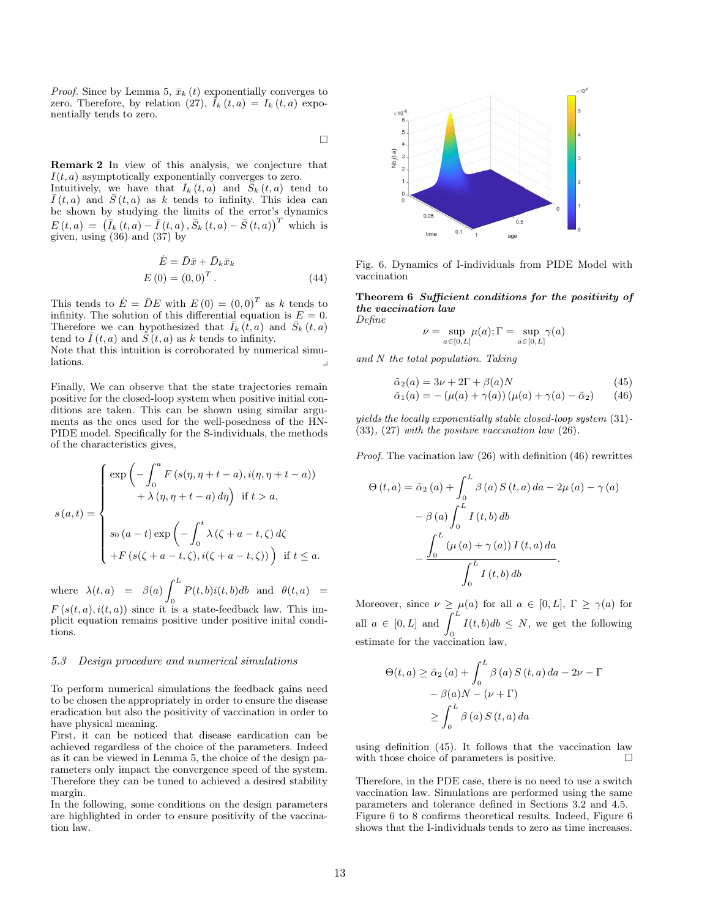*Proof.* Since by Lemma 5,  $\bar{x}_k(t)$  exponentially converges to zero. Therefore, by relation (27),  $I_k(t, a) = I_k(t, a)$  exponentially tends to zero.

$$
\Box
$$

Remark 2 In view of this analysis, we conjecture that  $I(t, a)$  asymptotically exponentially converges to zero.

Intuitively, we have that  $\bar{I}_k(t,a)$  and  $\bar{S}_k(t,a)$  tend to  $\overline{I}(t, a)$  and  $\overline{S}(t, a)$  as k tends to infinity. This idea can be shown by studying the limits of the error's dynamics  $E(t, a) = (\bar{I}_k(t, a) - \bar{I}(t, a), \bar{S}_k(t, a) - \bar{S}(t, a))$ <sup>T</sup> which is given, using  $(36)$  and  $(37)$  by

$$
\dot{E} = \bar{D}\bar{x} + \bar{D}_k \bar{x}_k
$$
  
\n
$$
E(0) = (0,0)^T.
$$
\n(44)

This tends to  $\dot{E} = \bar{D}E$  with  $E(0) = (0, 0)^T$  as k tends to infinity. The solution of this differential equation is  $E = 0$ . Therefore we can hypothesized that  $\bar{I}_k(t, a)$  and  $\bar{S}_k(t, a)$ tend to  $\overline{I}(t, a)$  and  $\overline{S}(t, a)$  as k tends to infinity.

Note that this intuition is corroborated by numerical simulations. lations.

Finally, We can observe that the state trajectories remain positive for the closed-loop system when positive initial conditions are taken. This can be shown using similar arguments as the ones used for the well-posedness of the HN-PIDE model. Specifically for the S-individuals, the methods of the characteristics gives,

$$
s(a,t) = \begin{cases} \exp\left(-\int_0^a F\left(s(\eta, \eta+t-a), i(\eta, \eta+t-a)\right) \\ + \lambda(\eta, \eta+t-a) d\eta\right) & \text{if } t > a, \\ s_0\left(a-t\right) \exp\left(-\int_0^t \lambda\left(\zeta+a-t, \zeta\right) d\zeta \\ + F\left(s(\zeta+a-t, \zeta), i(\zeta+a-t, \zeta)\right)\right) & \text{if } t \leq a. \end{cases}
$$

where  $\lambda(t,a) = \beta(a) \int^L$  $P(t,b)i(t,b)db$  and  $\theta(t,a)$  =  $F(s(t, a), i(t, a))$  since it is a state-feedback law. This implicit equation remains positive under positive inital conditions.

#### 5.3 Design procedure and numerical simulations

To perform numerical simulations the feedback gains need to be chosen the appropriately in order to ensure the disease eradication but also the positivity of vaccination in order to have physical meaning.

First, it can be noticed that disease eardication can be achieved regardless of the choice of the parameters. Indeed as it can be viewed in Lemma 5, the choice of the design parameters only impact the convergence speed of the system. Therefore they can be tuned to achieved a desired stability margin.

In the following, some conditions on the design parameters are highlighted in order to ensure positivity of the vaccination law.



Fig. 6. Dynamics of I-individuals from PIDE Model with vaccination

Theorem 6 Sufficient conditions for the positivity of the vaccination law Define

$$
\nu = \sup_{a \in [0,L]} \mu(a); \Gamma = \sup_{a \in [0,L]} \gamma(a)
$$

and N the total population. Taking

$$
\tilde{\alpha}_2(a) = 3\nu + 2\Gamma + \beta(a)N\tag{45}
$$

$$
\tilde{\alpha}_1(a) = -(\mu(a) + \gamma(a))(\mu(a) + \gamma(a) - \tilde{\alpha}_2) \tag{46}
$$

yields the locally exponentially stable closed-loop system (31)- (33), (27) with the positive vaccination law (26).

Proof. The vacination law (26) with definition (46) rewrittes

$$
\Theta(t, a) = \tilde{\alpha}_2(a) + \int_0^L \beta(a) S(t, a) da - 2\mu(a) - \gamma(a)
$$

$$
- \beta(a) \int_0^L I(t, b) db
$$

$$
- \frac{\int_0^L (\mu(a) + \gamma(a)) I(t, a) da}{\int_0^L I(t, b) db}.
$$

Moreover, since  $\nu \geq \mu(a)$  for all  $a \in [0, L]$ ,  $\Gamma \geq \gamma(a)$  for all  $a \in [0, L]$  and  $\int_0^L I(t, b) db \leq N$ , we get the following estimate for the vaccination law,

$$
\Theta(t, a) \ge \tilde{\alpha}_2(a) + \int_0^L \beta(a) S(t, a) da - 2\nu - \Gamma
$$

$$
- \beta(a)N - (\nu + \Gamma)
$$

$$
\ge \int_0^L \beta(a) S(t, a) da
$$

using definition (45). It follows that the vaccination law with those choice of parameters is positive.  $\Box$ 

Therefore, in the PDE case, there is no need to use a switch vaccination law. Simulations are performed using the same parameters and tolerance defined in Sections 3.2 and 4.5. Figure 6 to 8 confirms theoretical results. Indeed, Figure 6 shows that the I-individuals tends to zero as time increases.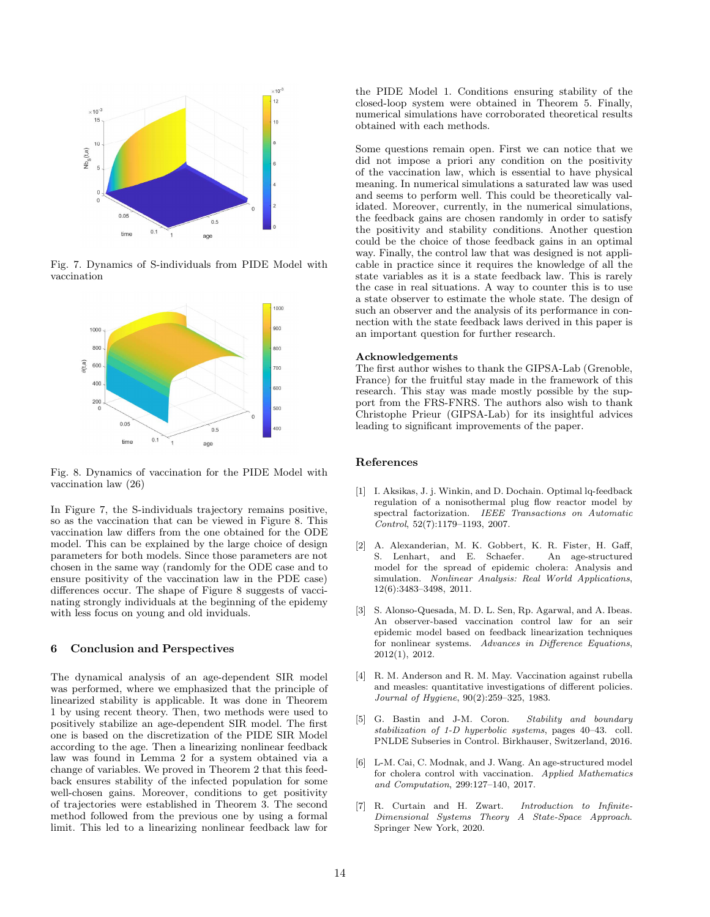

Fig. 7. Dynamics of S-individuals from PIDE Model with vaccination



Fig. 8. Dynamics of vaccination for the PIDE Model with vaccination law (26)

In Figure 7, the S-individuals trajectory remains positive, so as the vaccination that can be viewed in Figure 8. This vaccination law differs from the one obtained for the ODE model. This can be explained by the large choice of design parameters for both models. Since those parameters are not chosen in the same way (randomly for the ODE case and to ensure positivity of the vaccination law in the PDE case) differences occur. The shape of Figure 8 suggests of vaccinating strongly individuals at the beginning of the epidemy with less focus on young and old inviduals.

# 6 Conclusion and Perspectives

The dynamical analysis of an age-dependent SIR model was performed, where we emphasized that the principle of linearized stability is applicable. It was done in Theorem 1 by using recent theory. Then, two methods were used to positively stabilize an age-dependent SIR model. The first one is based on the discretization of the PIDE SIR Model according to the age. Then a linearizing nonlinear feedback law was found in Lemma 2 for a system obtained via a change of variables. We proved in Theorem 2 that this feedback ensures stability of the infected population for some well-chosen gains. Moreover, conditions to get positivity of trajectories were established in Theorem 3. The second method followed from the previous one by using a formal limit. This led to a linearizing nonlinear feedback law for the PIDE Model 1. Conditions ensuring stability of the closed-loop system were obtained in Theorem 5. Finally, numerical simulations have corroborated theoretical results obtained with each methods.

Some questions remain open. First we can notice that we did not impose a priori any condition on the positivity of the vaccination law, which is essential to have physical meaning. In numerical simulations a saturated law was used and seems to perform well. This could be theoretically validated. Moreover, currently, in the numerical simulations, the feedback gains are chosen randomly in order to satisfy the positivity and stability conditions. Another question could be the choice of those feedback gains in an optimal way. Finally, the control law that was designed is not applicable in practice since it requires the knowledge of all the state variables as it is a state feedback law. This is rarely the case in real situations. A way to counter this is to use a state observer to estimate the whole state. The design of such an observer and the analysis of its performance in connection with the state feedback laws derived in this paper is an important question for further research.

#### Acknowledgements

The first author wishes to thank the GIPSA-Lab (Grenoble, France) for the fruitful stay made in the framework of this research. This stay was made mostly possible by the support from the FRS-FNRS. The authors also wish to thank Christophe Prieur (GIPSA-Lab) for its insightful advices leading to significant improvements of the paper.

#### References

- [1] I. Aksikas, J. j. Winkin, and D. Dochain. Optimal lq-feedback regulation of a nonisothermal plug flow reactor model by spectral factorization. IEEE Transactions on Automatic Control, 52(7):1179–1193, 2007.
- [2] A. Alexanderian, M. K. Gobbert, K. R. Fister, H. Gaff, S. Lenhart, and E. Schaefer. An age-structured model for the spread of epidemic cholera: Analysis and simulation. Nonlinear Analysis: Real World Applications, 12(6):3483–3498, 2011.
- [3] S. Alonso-Quesada, M. D. L. Sen, Rp. Agarwal, and A. Ibeas. An observer-based vaccination control law for an seir epidemic model based on feedback linearization techniques for nonlinear systems. Advances in Difference Equations, 2012(1), 2012.
- [4] R. M. Anderson and R. M. May. Vaccination against rubella and measles: quantitative investigations of different policies. Journal of Hygiene, 90(2):259–325, 1983.
- [5] G. Bastin and J-M. Coron. Stability and boundary stabilization of 1-D hyperbolic systems, pages 40–43. coll. PNLDE Subseries in Control. Birkhauser, Switzerland, 2016.
- [6] L-M. Cai, C. Modnak, and J. Wang. An age-structured model for cholera control with vaccination. Applied Mathematics and Computation, 299:127–140, 2017.
- [7] R. Curtain and H. Zwart. Introduction to Infinite-Dimensional Systems Theory A State-Space Approach. Springer New York, 2020.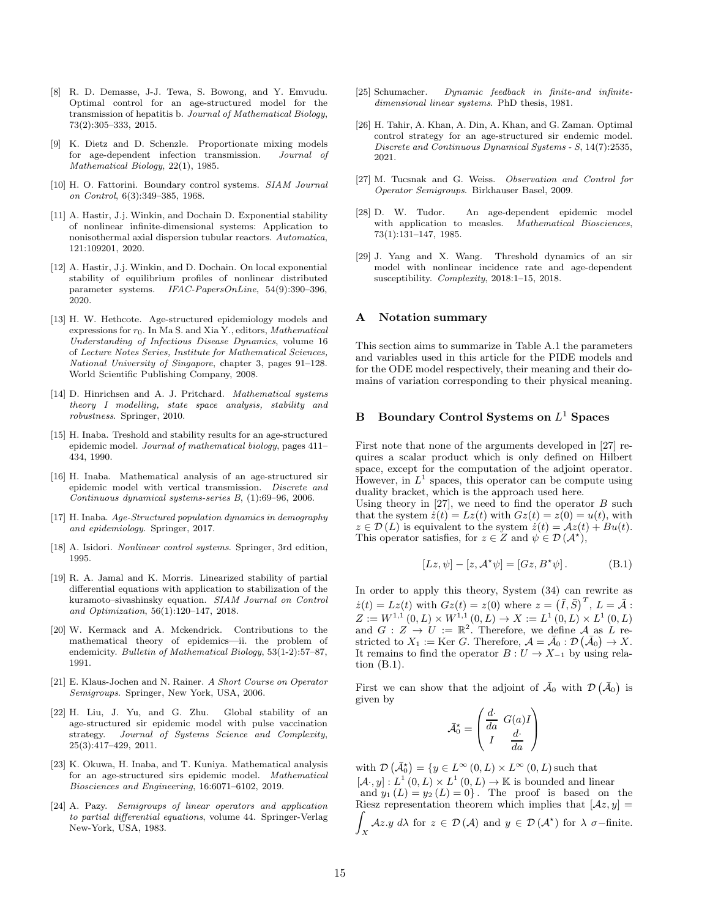- [8] R. D. Demasse, J-J. Tewa, S. Bowong, and Y. Emvudu. Optimal control for an age-structured model for the transmission of hepatitis b. Journal of Mathematical Biology, 73(2):305–333, 2015.
- [9] K. Dietz and D. Schenzle. Proportionate mixing models for age-dependent infection transmission. Journal of Mathematical Biology, 22(1), 1985.
- [10] H. O. Fattorini. Boundary control systems. SIAM Journal on Control, 6(3):349–385, 1968.
- [11] A. Hastir, J.j. Winkin, and Dochain D. Exponential stability of nonlinear infinite-dimensional systems: Application to nonisothermal axial dispersion tubular reactors. Automatica, 121:109201, 2020.
- [12] A. Hastir, J.j. Winkin, and D. Dochain. On local exponential stability of equilibrium profiles of nonlinear distributed parameter systems. IFAC-PapersOnLine, 54(9):390–396, 2020.
- [13] H. W. Hethcote. Age-structured epidemiology models and expressions for  $r_0$ . In Ma S. and Xia Y., editors, *Mathematical* Understanding of Infectious Disease Dynamics, volume 16 of Lecture Notes Series, Institute for Mathematical Sciences, National University of Singapore, chapter 3, pages 91–128. World Scientific Publishing Company, 2008.
- [14] D. Hinrichsen and A. J. Pritchard. Mathematical systems theory I modelling, state space analysis, stability and robustness. Springer, 2010.
- [15] H. Inaba. Treshold and stability results for an age-structured epidemic model. Journal of mathematical biology, pages 411– 434, 1990.
- [16] H. Inaba. Mathematical analysis of an age-structured sir epidemic model with vertical transmission. Discrete and Continuous dynamical systems-series B, (1):69–96, 2006.
- [17] H. Inaba. Age-Structured population dynamics in demography and epidemiology. Springer, 2017.
- [18] A. Isidori. Nonlinear control systems. Springer, 3rd edition, 1995.
- [19] R. A. Jamal and K. Morris. Linearized stability of partial differential equations with application to stabilization of the kuramoto–sivashinsky equation. SIAM Journal on Control and Optimization, 56(1):120–147, 2018.
- [20] W. Kermack and A. Mckendrick. Contributions to the mathematical theory of epidemics—ii. the problem of endemicity. Bulletin of Mathematical Biology, 53(1-2):57–87, 1991.
- [21] E. Klaus-Jochen and N. Rainer. A Short Course on Operator Semigroups. Springer, New York, USA, 2006.
- [22] H. Liu, J. Yu, and G. Zhu. Global stability of an age-structured sir epidemic model with pulse vaccination strategy. Journal of Systems Science and Complexity, 25(3):417–429, 2011.
- [23] K. Okuwa, H. Inaba, and T. Kuniya. Mathematical analysis for an age-structured sirs epidemic model. Mathematical Biosciences and Engineering, 16:6071–6102, 2019.
- [24] A. Pazy. Semigroups of linear operators and application to partial differential equations, volume 44. Springer-Verlag New-York, USA, 1983.
- [25] Schumacher. Dynamic feedback in finite-and infinitedimensional linear systems. PhD thesis, 1981.
- [26] H. Tahir, A. Khan, A. Din, A. Khan, and G. Zaman. Optimal control strategy for an age-structured sir endemic model. Discrete and Continuous Dynamical Systems - S, 14(7):2535, 2021.
- [27] M. Tucsnak and G. Weiss. Observation and Control for Operator Semigroups. Birkhauser Basel, 2009.
- [28] D. W. Tudor. An age-dependent epidemic model with application to measles. Mathematical Biosciences, 73(1):131–147, 1985.
- [29] J. Yang and X. Wang. Threshold dynamics of an sir model with nonlinear incidence rate and age-dependent susceptibility. Complexity, 2018:1–15, 2018.

# A Notation summary

This section aims to summarize in Table A.1 the parameters and variables used in this article for the PIDE models and for the ODE model respectively, their meaning and their domains of variation corresponding to their physical meaning.

# **B** Boundary Control Systems on  $L^1$  Spaces

First note that none of the arguments developed in [27] requires a scalar product which is only defined on Hilbert space, except for the computation of the adjoint operator. However, in  $L^1$  spaces, this operator can be compute using duality bracket, which is the approach used here.

Using theory in  $[27]$ , we need to find the operator  $B$  such that the system  $\dot{z}(t) = Lz(t)$  with  $Gz(t) = z(0) = u(t)$ , with  $z \in \mathcal{D}(L)$  is equivalent to the system  $\dot{z}(t) = \mathcal{A}z(t) + Bu(t)$ . This operator satisfies, for  $z \in Z$  and  $\psi \in \mathcal{D}(\mathcal{A}^*)$ ,

$$
[Lz, \psi] - [z, \mathcal{A}^{\star}\psi] = [Gz, B^{\star}\psi]. \tag{B.1}
$$

In order to apply this theory, System (34) can rewrite as  $\dot{z}(t) = Lz(t)$  with  $Gz(t) = z(0)$  where  $z = (\overline{I}, \overline{S})^T$ ,  $L = \overline{A}$ :  $Z := W^{1,1}(0, L) \times W^{1,1}(0, L) \to X := L^1(0, L) \times L^1(0, L)$ <br>and  $G : Z \to U := \mathbb{R}^2$ . Therefore, we define  $A$  as  $L$  re-<br>stricted to  $X_1 := \text{Ker } G$ . Therefore,  $A = \bar{A}_0 : \mathcal{D}(\bar{A}_0) \to X$ . It remains to find the operator  $B: U \to X_{-1}$  by using relation (B.1).

First we can show that the adjoint of  $\bar{\mathcal{A}}_0$  with  $\mathcal{D}(\bar{\mathcal{A}}_0)$  is given by

$$
\bar{\mathcal{A}}_0^{\star} = \begin{pmatrix} \frac{d \cdot}{da} & G(a)I \\ I & \frac{d \cdot}{da} \end{pmatrix}
$$

with  $\mathcal{D}(\bar{\mathcal{A}}_0^*) = \{y \in L^\infty(0,L) \times L^\infty(0,L) \text{ such that }$  $[\mathcal{A}\cdot,y]: L^1(0,L)\times L^1(0,L)\to\mathbb{K}$  is bounded and linear and  $y_1(L) = y_2(L) = 0$ . The proof is based on the Z Riesz representation theorem which implies that  $[Az, y] =$  $\mathcal{A}z.y\ d\lambda \text{ for } z\in\mathcal{D}(\mathcal{A}) \text{ and } y\in\mathcal{D}(\mathcal{A}^*) \text{ for } \lambda \text{ } \sigma\text{-finite.}$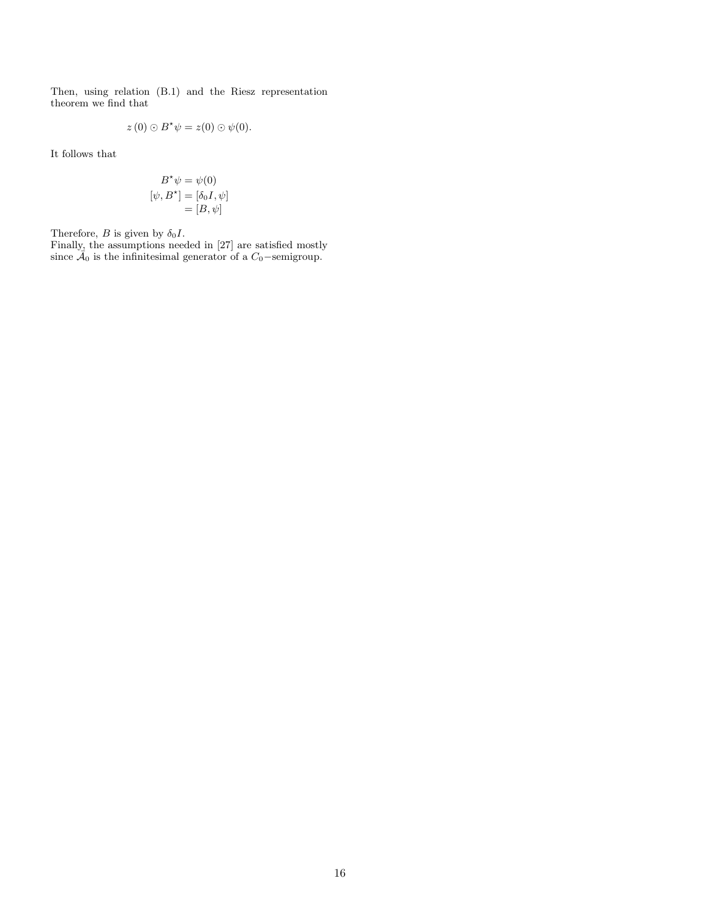Then, using relation (B.1) and the Riesz representation theorem we find that

$$
z(0) \odot B^{\star}\psi = z(0) \odot \psi(0).
$$

It follows that

$$
B^{\star}\psi = \psi(0)
$$
  

$$
[\psi, B^{\star}] = [\delta_0 I, \psi]
$$
  

$$
= [B, \psi]
$$

Therefore, B is given by  $\delta_0 I$ .

Finally, the assumptions needed in [27] are satisfied mostly since  $\bar{\mathcal{A}}_0$  is the infinitesimal generator of a  $C_0$ -semigroup.